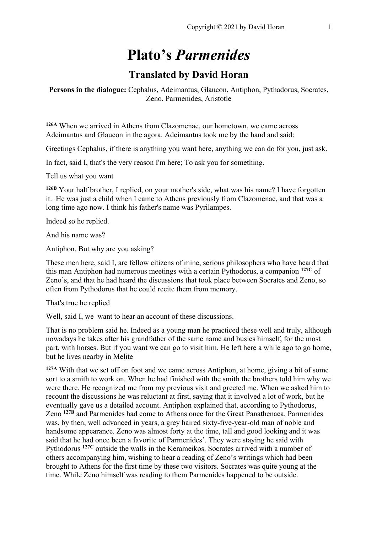# **Plato's** *Parmenides*

## **Translated by David Horan**

#### **Persons in the dialogue:** Cephalus, Adeimantus, Glaucon, Antiphon, Pythadorus, Socrates, Zeno, Parmenides, Aristotle

**126A** When we arrived in Athens from Clazomenae, our hometown, we came across Adeimantus and Glaucon in the agora. Adeimantus took me by the hand and said:

Greetings Cephalus, if there is anything you want here, anything we can do for you, just ask.

In fact, said I, that's the very reason I'm here; To ask you for something.

Tell us what you want

**126B** Your half brother, I replied, on your mother's side, what was his name? I have forgotten it. He was just a child when I came to Athens previously from Clazomenae, and that was a long time ago now. I think his father's name was Pyrilampes.

Indeed so he replied.

And his name was?

Antiphon. But why are you asking?

These men here, said I, are fellow citizens of mine, serious philosophers who have heard that this man Antiphon had numerous meetings with a certain Pythodorus, a companion **127C** of Zeno's, and that he had heard the discussions that took place between Socrates and Zeno, so often from Pythodorus that he could recite them from memory.

That's true he replied

Well, said I, we want to hear an account of these discussions.

That is no problem said he. Indeed as a young man he practiced these well and truly, although nowadays he takes after his grandfather of the same name and busies himself, for the most part, with horses. But if you want we can go to visit him. He left here a while ago to go home, but he lives nearby in Melite

**127A** With that we set off on foot and we came across Antiphon, at home, giving a bit of some sort to a smith to work on. When he had finished with the smith the brothers told him why we were there. He recognized me from my previous visit and greeted me. When we asked him to recount the discussions he was reluctant at first, saying that it involved a lot of work, but he eventually gave us a detailed account. Antiphon explained that, according to Pythodorus, Zeno **127B** and Parmenides had come to Athens once for the Great Panathenaea. Parmenides was, by then, well advanced in years, a grey haired sixty-five-year-old man of noble and handsome appearance. Zeno was almost forty at the time, tall and good looking and it was said that he had once been a favorite of Parmenides'. They were staying he said with Pythodorus **127C** outside the walls in the Kerameikos. Socrates arrived with a number of others accompanying him, wishing to hear a reading of Zeno's writings which had been brought to Athens for the first time by these two visitors. Socrates was quite young at the time. While Zeno himself was reading to them Parmenides happened to be outside.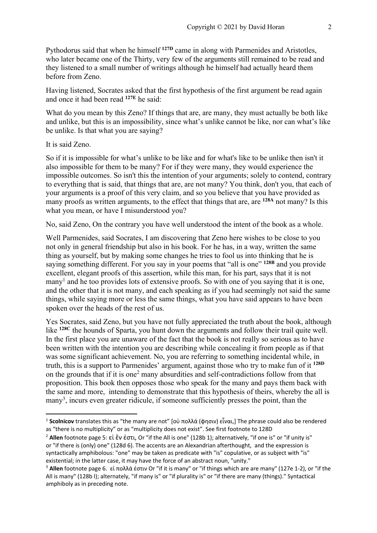Pythodorus said that when he himself **127D** came in along with Parmenides and Aristotles, who later became one of the Thirty, very few of the arguments still remained to be read and they listened to a small number of writings although he himself had actually heard them before from Zeno.

Having listened, Socrates asked that the first hypothesis of the first argument be read again and once it had been read **127E** he said:

What do you mean by this Zeno? If things that are, are many, they must actually be both like and unlike, but this is an impossibility, since what's unlike cannot be like, nor can what's like be unlike. Is that what you are saying?

It is said Zeno.

So if it is impossible for what's unlike to be like and for what's like to be unlike then isn't it also impossible for them to be many? For if they were many, they would experience the impossible outcomes. So isn't this the intention of your arguments; solely to contend, contrary to everything that is said, that things that are, are not many? You think, don't you, that each of your arguments is a proof of this very claim, and so you believe that you have provided as many proofs as written arguments, to the effect that things that are, are **128A** not many? Is this what you mean, or have I misunderstood you?

No, said Zeno, On the contrary you have well understood the intent of the book as a whole.

Well Parmenides, said Socrates, I am discovering that Zeno here wishes to be close to you not only in general friendship but also in his book. For he has, in a way, written the same thing as yourself, but by making some changes he tries to fool us into thinking that he is saying something different. For you say in your poems that "all is one" **128B** and you provide excellent, elegant proofs of this assertion, while this man, for his part, says that it is not many<sup>1</sup> and he too provides lots of extensive proofs. So with one of you saying that it is one, and the other that it is not many, and each speaking as if you had seemingly not said the same things, while saying more or less the same things, what you have said appears to have been spoken over the heads of the rest of us.

Yes Socrates, said Zeno, but you have not fully appreciated the truth about the book, although like **128C** the hounds of Sparta, you hunt down the arguments and follow their trail quite well. In the first place you are unaware of the fact that the book is not really so serious as to have been written with the intention you are describing while concealing it from people as if that was some significant achievement. No, you are referring to something incidental while, in truth, this is a support to Parmenides' argument, against those who try to make fun of it **128D** on the grounds that if it is one<sup>2</sup> many absurdities and self-contradictions follow from that proposition. This book then opposes those who speak for the many and pays them back with the same and more, intending to demonstrate that this hypothesis of theirs, whereby the all is many3, incurs even greater ridicule, if someone sufficiently presses the point, than the

<sup>1</sup> **Scolnicov** translates this as "the many are not" [οὐ πολλά (φησιν) εἶναι,] The phrase could also be rendered as "there is no multiplicity" or as "multiplicity does not exist". See first footnote to 128D

<sup>2</sup> **Allen** footnote page 5: εἰ ἕν ἐστι, Or "if the All is one" (128b 1); alternatively, "if one is" or "if unity is" or "if there is (only) one" (128d 6). The accents are an Alexandrian afterthought, and the expression is syntactically amphibolous: "one" may be taken as predicate with "is" copulative, or as subject with "is" existential; in the latter case, it may have the force of an abstract noun, "unity."

<sup>3</sup> **Allen** footnote page 6. εἰ πολλά ἐστιν Or "if it is many" or "if things which are are many" (127e 1-2), or "if the All is many" (128b I); alternately, "if many is" or "if plurality is" or "if there are many (things)." Syntactical amphiboly as in preceding note.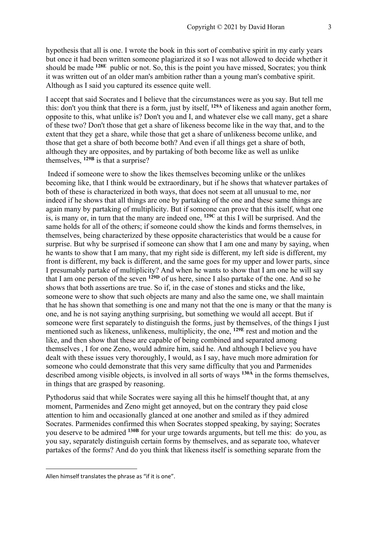hypothesis that all is one. I wrote the book in this sort of combative spirit in my early years but once it had been written someone plagiarized it so I was not allowed to decide whether it should be made **128E** public or not. So, this is the point you have missed, Socrates; you think it was written out of an older man's ambition rather than a young man's combative spirit. Although as I said you captured its essence quite well.

I accept that said Socrates and I believe that the circumstances were as you say. But tell me this: don't you think that there is a form, just by itself, **129A** of likeness and again another form, opposite to this, what unlike is? Don't you and I, and whatever else we call many, get a share of these two? Don't those that get a share of likeness become like in the way that, and to the extent that they get a share, while those that get a share of unlikeness become unlike, and those that get a share of both become both? And even if all things get a share of both, although they are opposites, and by partaking of both become like as well as unlike themselves, **129B** is that a surprise?

Indeed if someone were to show the likes themselves becoming unlike or the unlikes becoming like, that I think would be extraordinary, but if he shows that whatever partakes of both of these is characterized in both ways, that does not seem at all unusual to me, nor indeed if he shows that all things are one by partaking of the one and these same things are again many by partaking of multiplicity. But if someone can prove that this itself, what one is, is many or, in turn that the many are indeed one, **129C** at this I will be surprised. And the same holds for all of the others; if someone could show the kinds and forms themselves, in themselves, being characterized by these opposite characteristics that would be a cause for surprise. But why be surprised if someone can show that I am one and many by saying, when he wants to show that I am many, that my right side is different, my left side is different, my front is different, my back is different, and the same goes for my upper and lower parts, since I presumably partake of multiplicity? And when he wants to show that I am one he will say that I am one person of the seven **129D** of us here, since I also partake of the one. And so he shows that both assertions are true. So if, in the case of stones and sticks and the like, someone were to show that such objects are many and also the same one, we shall maintain that he has shown that something is one and many not that the one is many or that the many is one, and he is not saying anything surprising, but something we would all accept. But if someone were first separately to distinguish the forms, just by themselves, of the things I just mentioned such as likeness, unlikeness, multiplicity, the one, **129E** rest and motion and the like, and then show that these are capable of being combined and separated among themselves , I for one Zeno, would admire him, said he. And although I believe you have dealt with these issues very thoroughly, I would, as I say, have much more admiration for someone who could demonstrate that this very same difficulty that you and Parmenides described among visible objects, is involved in all sorts of ways **130A** in the forms themselves, in things that are grasped by reasoning.

Pythodorus said that while Socrates were saying all this he himself thought that, at any moment, Parmenides and Zeno might get annoyed, but on the contrary they paid close attention to him and occasionally glanced at one another and smiled as if they admired Socrates. Parmenides confirmed this when Socrates stopped speaking, by saying; Socrates you deserve to be admired **130B** for your urge towards arguments, but tell me this: do you, as you say, separately distinguish certain forms by themselves, and as separate too, whatever partakes of the forms? And do you think that likeness itself is something separate from the

Allen himself translates the phrase as "if it is one".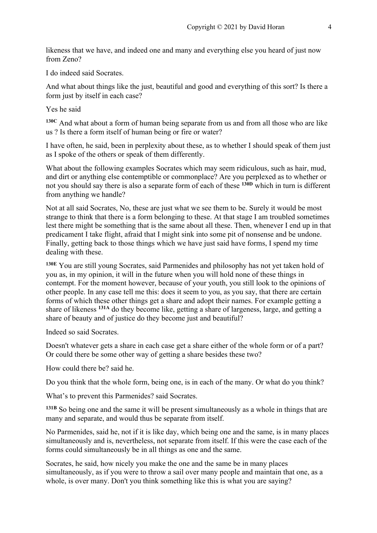likeness that we have, and indeed one and many and everything else you heard of just now from Zeno?

I do indeed said Socrates.

And what about things like the just, beautiful and good and everything of this sort? Is there a form just by itself in each case?

Yes he said

**130C** And what about a form of human being separate from us and from all those who are like us ? Is there a form itself of human being or fire or water?

I have often, he said, been in perplexity about these, as to whether I should speak of them just as I spoke of the others or speak of them differently.

What about the following examples Socrates which may seem ridiculous, such as hair, mud, and dirt or anything else contemptible or commonplace? Are you perplexed as to whether or not you should say there is also a separate form of each of these **130D** which in turn is different from anything we handle?

Not at all said Socrates, No, these are just what we see them to be. Surely it would be most strange to think that there is a form belonging to these. At that stage I am troubled sometimes lest there might be something that is the same about all these. Then, whenever I end up in that predicament I take flight, afraid that I might sink into some pit of nonsense and be undone. Finally, getting back to those things which we have just said have forms, I spend my time dealing with these.

**130E** You are still young Socrates, said Parmenides and philosophy has not yet taken hold of you as, in my opinion, it will in the future when you will hold none of these things in contempt. For the moment however, because of your youth, you still look to the opinions of other people. In any case tell me this: does it seem to you, as you say, that there are certain forms of which these other things get a share and adopt their names. For example getting a share of likeness **131A** do they become like, getting a share of largeness, large, and getting a share of beauty and of justice do they become just and beautiful?

Indeed so said Socrates.

Doesn't whatever gets a share in each case get a share either of the whole form or of a part? Or could there be some other way of getting a share besides these two?

How could there be? said he.

Do you think that the whole form, being one, is in each of the many. Or what do you think?

What's to prevent this Parmenides? said Socrates.

**131B** So being one and the same it will be present simultaneously as a whole in things that are many and separate, and would thus be separate from itself.

No Parmenides, said he, not if it is like day, which being one and the same, is in many places simultaneously and is, nevertheless, not separate from itself. If this were the case each of the forms could simultaneously be in all things as one and the same.

Socrates, he said, how nicely you make the one and the same be in many places simultaneously, as if you were to throw a sail over many people and maintain that one, as a whole, is over many. Don't you think something like this is what you are saying?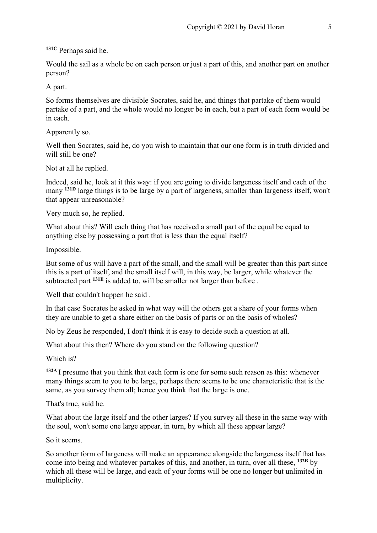**131C** Perhaps said he.

Would the sail as a whole be on each person or just a part of this, and another part on another person?

A part.

So forms themselves are divisible Socrates, said he, and things that partake of them would partake of a part, and the whole would no longer be in each, but a part of each form would be in each.

Apparently so.

Well then Socrates, said he, do you wish to maintain that our one form is in truth divided and will still be one?

Not at all he replied.

Indeed, said he, look at it this way: if you are going to divide largeness itself and each of the many **131D** large things is to be large by a part of largeness, smaller than largeness itself, won't that appear unreasonable?

Very much so, he replied.

What about this? Will each thing that has received a small part of the equal be equal to anything else by possessing a part that is less than the equal itself?

Impossible.

But some of us will have a part of the small, and the small will be greater than this part since this is a part of itself, and the small itself will, in this way, be larger, while whatever the subtracted part **131E** is added to, will be smaller not larger than before .

Well that couldn't happen he said .

In that case Socrates he asked in what way will the others get a share of your forms when they are unable to get a share either on the basis of parts or on the basis of wholes?

No by Zeus he responded, I don't think it is easy to decide such a question at all.

What about this then? Where do you stand on the following question?

Which is?

**132A** I presume that you think that each form is one for some such reason as this: whenever many things seem to you to be large, perhaps there seems to be one characteristic that is the same, as you survey them all; hence you think that the large is one.

That's true, said he.

What about the large itself and the other larges? If you survey all these in the same way with the soul, won't some one large appear, in turn, by which all these appear large?

So it seems.

So another form of largeness will make an appearance alongside the largeness itself that has come into being and whatever partakes of this, and another, in turn, over all these, **132B** by which all these will be large, and each of your forms will be one no longer but unlimited in multiplicity.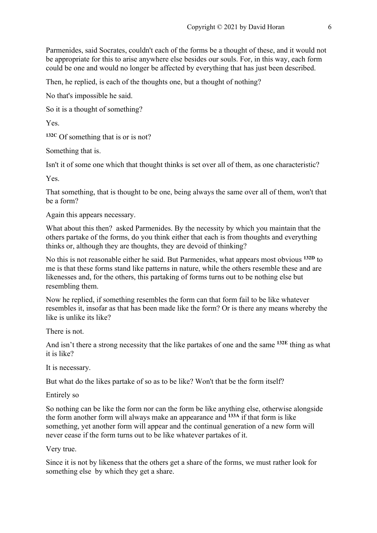Parmenides, said Socrates, couldn't each of the forms be a thought of these, and it would not be appropriate for this to arise anywhere else besides our souls. For, in this way, each form could be one and would no longer be affected by everything that has just been described.

Then, he replied, is each of the thoughts one, but a thought of nothing?

No that's impossible he said.

So it is a thought of something?

Yes.

**132C** Of something that is or is not?

Something that is.

Isn't it of some one which that thought thinks is set over all of them, as one characteristic?

Yes.

That something, that is thought to be one, being always the same over all of them, won't that be a form?

Again this appears necessary.

What about this then? asked Parmenides. By the necessity by which you maintain that the others partake of the forms, do you think either that each is from thoughts and everything thinks or, although they are thoughts, they are devoid of thinking?

No this is not reasonable either he said. But Parmenides, what appears most obvious **132D** to me is that these forms stand like patterns in nature, while the others resemble these and are likenesses and, for the others, this partaking of forms turns out to be nothing else but resembling them.

Now he replied, if something resembles the form can that form fail to be like whatever resembles it, insofar as that has been made like the form? Or is there any means whereby the like is unlike its like?

There is not.

And isn't there a strong necessity that the like partakes of one and the same **132E** thing as what it is like?

It is necessary.

But what do the likes partake of so as to be like? Won't that be the form itself?

Entirely so

So nothing can be like the form nor can the form be like anything else, otherwise alongside the form another form will always make an appearance and **133A** if that form is like something, yet another form will appear and the continual generation of a new form will never cease if the form turns out to be like whatever partakes of it.

#### Very true.

Since it is not by likeness that the others get a share of the forms, we must rather look for something else by which they get a share.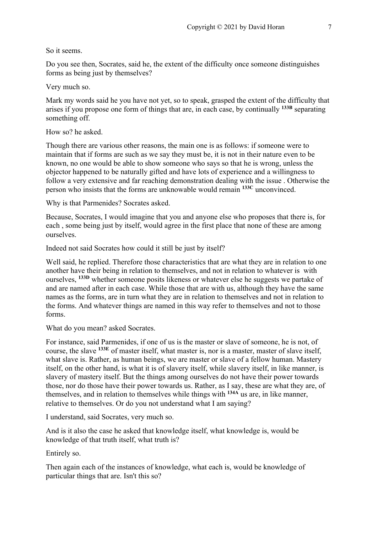#### So it seems.

Do you see then, Socrates, said he, the extent of the difficulty once someone distinguishes forms as being just by themselves?

Very much so.

Mark my words said he you have not yet, so to speak, grasped the extent of the difficulty that arises if you propose one form of things that are, in each case, by continually **133B** separating something off.

How so? he asked.

Though there are various other reasons, the main one is as follows: if someone were to maintain that if forms are such as we say they must be, it is not in their nature even to be known, no one would be able to show someone who says so that he is wrong, unless the objector happened to be naturally gifted and have lots of experience and a willingness to follow a very extensive and far reaching demonstration dealing with the issue . Otherwise the person who insists that the forms are unknowable would remain **133C** unconvinced.

Why is that Parmenides? Socrates asked.

Because, Socrates, I would imagine that you and anyone else who proposes that there is, for each , some being just by itself, would agree in the first place that none of these are among ourselves.

Indeed not said Socrates how could it still be just by itself?

Well said, he replied. Therefore those characteristics that are what they are in relation to one another have their being in relation to themselves, and not in relation to whatever is with ourselves, **133D** whether someone posits likeness or whatever else he suggests we partake of and are named after in each case. While those that are with us, although they have the same names as the forms, are in turn what they are in relation to themselves and not in relation to the forms. And whatever things are named in this way refer to themselves and not to those forms.

What do you mean? asked Socrates.

For instance, said Parmenides, if one of us is the master or slave of someone, he is not, of course, the slave **133E** of master itself, what master is, nor is a master, master of slave itself, what slave is. Rather, as human beings, we are master or slave of a fellow human. Mastery itself, on the other hand, is what it is of slavery itself, while slavery itself, in like manner, is slavery of mastery itself. But the things among ourselves do not have their power towards those, nor do those have their power towards us. Rather, as I say, these are what they are, of themselves, and in relation to themselves while things with **134A** us are, in like manner, relative to themselves. Or do you not understand what I am saying?

I understand, said Socrates, very much so.

And is it also the case he asked that knowledge itself, what knowledge is, would be knowledge of that truth itself, what truth is?

Entirely so.

Then again each of the instances of knowledge, what each is, would be knowledge of particular things that are. Isn't this so?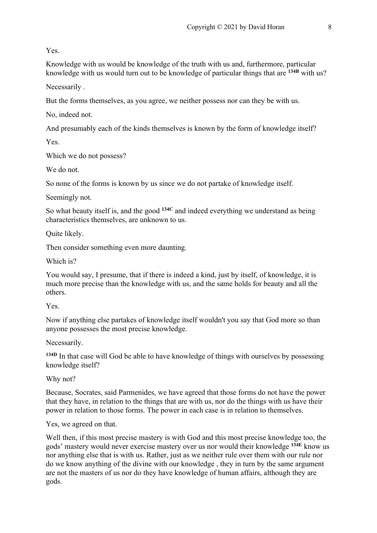Yes.

Knowledge with us would be knowledge of the truth with us and, furthermore, particular knowledge with us would turn out to be knowledge of particular things that are **134B** with us?

Necessarily .

But the forms themselves, as you agree, we neither possess nor can they be with us.

No, indeed not.

And presumably each of the kinds themselves is known by the form of knowledge itself?

Yes.

Which we do not possess?

We do not.

So none of the forms is known by us since we do not partake of knowledge itself.

Seemingly not.

So what beauty itself is, and the good **134C** and indeed everything we understand as being characteristics themselves, are unknown to us.

Quite likely.

Then consider something even more daunting.

Which is?

You would say, I presume, that if there is indeed a kind, just by itself, of knowledge, it is much more precise than the knowledge with us, and the same holds for beauty and all the others.

Yes.

Now if anything else partakes of knowledge itself wouldn't you say that God more so than anyone possesses the most precise knowledge.

Necessarily.

**134D** In that case will God be able to have knowledge of things with ourselves by possessing knowledge itself?

Why not?

Because, Socrates, said Parmenides, we have agreed that those forms do not have the power that they have, in relation to the things that are with us, nor do the things with us have their power in relation to those forms. The power in each case is in relation to themselves.

Yes, we agreed on that.

Well then, if this most precise mastery is with God and this most precise knowledge too, the gods' mastery would never exercise mastery over us nor would their knowledge **134E** know us nor anything else that is with us. Rather, just as we neither rule over them with our rule nor do we know anything of the divine with our knowledge , they in turn by the same argument are not the masters of us nor do they have knowledge of human affairs, although they are gods.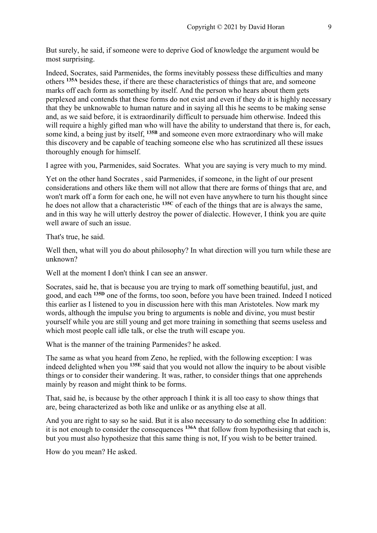But surely, he said, if someone were to deprive God of knowledge the argument would be most surprising.

Indeed, Socrates, said Parmenides, the forms inevitably possess these difficulties and many others **135A** besides these, if there are these characteristics of things that are, and someone marks off each form as something by itself. And the person who hears about them gets perplexed and contends that these forms do not exist and even if they do it is highly necessary that they be unknowable to human nature and in saying all this he seems to be making sense and, as we said before, it is extraordinarily difficult to persuade him otherwise. Indeed this will require a highly gifted man who will have the ability to understand that there is, for each, some kind, a being just by itself, **135B** and someone even more extraordinary who will make this discovery and be capable of teaching someone else who has scrutinized all these issues thoroughly enough for himself.

I agree with you, Parmenides, said Socrates. What you are saying is very much to my mind.

Yet on the other hand Socrates , said Parmenides, if someone, in the light of our present considerations and others like them will not allow that there are forms of things that are, and won't mark off a form for each one, he will not even have anywhere to turn his thought since he does not allow that a characteristic **135C** of each of the things that are is always the same, and in this way he will utterly destroy the power of dialectic. However, I think you are quite well aware of such an issue.

That's true, he said.

Well then, what will you do about philosophy? In what direction will you turn while these are unknown?

Well at the moment I don't think I can see an answer.

Socrates, said he, that is because you are trying to mark off something beautiful, just, and good, and each **135D** one of the forms, too soon, before you have been trained. Indeed I noticed this earlier as I listened to you in discussion here with this man Aristoteles. Now mark my words, although the impulse you bring to arguments is noble and divine, you must bestir yourself while you are still young and get more training in something that seems useless and which most people call idle talk, or else the truth will escape you.

What is the manner of the training Parmenides? he asked.

The same as what you heard from Zeno, he replied, with the following exception: I was indeed delighted when you **135E** said that you would not allow the inquiry to be about visible things or to consider their wandering. It was, rather, to consider things that one apprehends mainly by reason and might think to be forms.

That, said he, is because by the other approach I think it is all too easy to show things that are, being characterized as both like and unlike or as anything else at all.

And you are right to say so he said. But it is also necessary to do something else In addition: it is not enough to consider the consequences **136A** that follow from hypothesising that each is, but you must also hypothesize that this same thing is not, If you wish to be better trained.

How do you mean? He asked.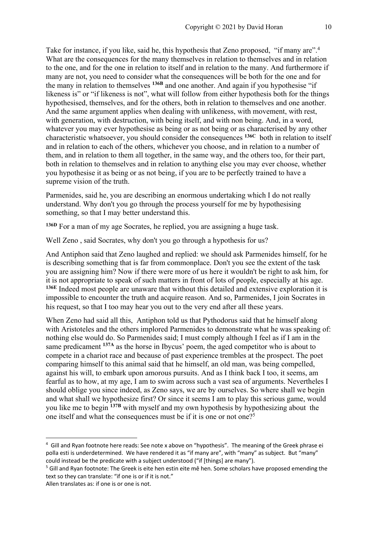Take for instance, if you like, said he, this hypothesis that Zeno proposed, "if many are".<sup>4</sup> What are the consequences for the many themselves in relation to themselves and in relation to the one, and for the one in relation to itself and in relation to the many. And furthermore if many are not, you need to consider what the consequences will be both for the one and for the many in relation to themselves **136B** and one another. And again if you hypothesise "if likeness is" or "if likeness is not", what will follow from either hypothesis both for the things hypothesised, themselves, and for the others, both in relation to themselves and one another. And the same argument applies when dealing with unlikeness, with movement, with rest, with generation, with destruction, with being itself, and with non being. And, in a word, whatever you may ever hypothesise as being or as not being or as characterised by any other characteristic whatsoever, you should consider the consequences **136C** both in relation to itself and in relation to each of the others, whichever you choose, and in relation to a number of them, and in relation to them all together, in the same way, and the others too, for their part, both in relation to themselves and in relation to anything else you may ever choose, whether you hypothesise it as being or as not being, if you are to be perfectly trained to have a supreme vision of the truth.

Parmenides, said he, you are describing an enormous undertaking which I do not really understand. Why don't you go through the process yourself for me by hypothesising something, so that I may better understand this.

**136D** For a man of my age Socrates, he replied, you are assigning a huge task.

Well Zeno , said Socrates, why don't you go through a hypothesis for us?

And Antiphon said that Zeno laughed and replied: we should ask Parmenides himself, for he is describing something that is far from commonplace. Don't you see the extent of the task you are assigning him? Now if there were more of us here it wouldn't be right to ask him, for it is not appropriate to speak of such matters in front of lots of people, especially at his age. **136E** Indeed most people are unaware that without this detailed and extensive exploration it is impossible to encounter the truth and acquire reason. And so, Parmenides, I join Socrates in his request, so that I too may hear you out to the very end after all these years.

When Zeno had said all this, Antiphon told us that Pythodorus said that he himself along with Aristoteles and the others implored Parmenides to demonstrate what he was speaking of: nothing else would do. So Parmenides said; I must comply although I feel as if I am in the same predicament **137A** as the horse in Ibycus' poem, the aged competitor who is about to compete in a chariot race and because of past experience trembles at the prospect. The poet comparing himself to this animal said that he himself, an old man, was being compelled, against his will, to embark upon amorous pursuits. And as I think back I too, it seems, am fearful as to how, at my age, I am to swim across such a vast sea of arguments. Nevertheles I should oblige you since indeed, as Zeno says, we are by ourselves. So where shall we begin and what shall we hypothesize first? Or since it seems I am to play this serious game, would you like me to begin **137B** with myself and my own hypothesis by hypothesizing about the one itself and what the consequences must be if it is one or not one?<sup>5</sup>

<sup>&</sup>lt;sup>4</sup> Gill and Ryan footnote here reads: See note x above on "hypothesis". The meaning of the Greek phrase ei polla esti is underdetermined. We have rendered it as "if many are", with "many" as subject. But "many" could instead be the predicate with a subject understood ("if [things] are many").

<sup>&</sup>lt;sup>5</sup> Gill and Ryan footnote: The Greek is eite hen estin eite mê hen. Some scholars have proposed emending the text so they can translate: "if one is or if it is not."

Allen translates as: if one is or one is not.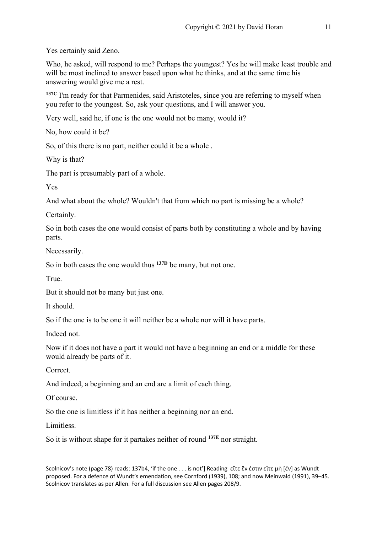Yes certainly said Zeno.

Who, he asked, will respond to me? Perhaps the youngest? Yes he will make least trouble and will be most inclined to answer based upon what he thinks, and at the same time his answering would give me a rest.

**137C** I'm ready for that Parmenides, said Aristoteles, since you are referring to myself when you refer to the youngest. So, ask your questions, and I will answer you.

Very well, said he, if one is the one would not be many, would it?

No, how could it be?

So, of this there is no part, neither could it be a whole .

Why is that?

The part is presumably part of a whole.

Yes

And what about the whole? Wouldn't that from which no part is missing be a whole?

Certainly.

So in both cases the one would consist of parts both by constituting a whole and by having parts.

Necessarily.

So in both cases the one would thus **137D** be many, but not one.

True.

But it should not be many but just one.

It should.

So if the one is to be one it will neither be a whole nor will it have parts.

Indeed not.

Now if it does not have a part it would not have a beginning an end or a middle for these would already be parts of it.

Correct.

And indeed, a beginning and an end are a limit of each thing.

Of course.

So the one is limitless if it has neither a beginning nor an end.

Limitless.

So it is without shape for it partakes neither of round **137E** nor straight.

Scolnicov's note (page 78) reads: 137b4, 'if the one . . . is not'] Reading εἴτε ἕν ἐστιν εἴτε μὴ [ἕν] as Wundt proposed. For a defence of Wundt's emendation, see Cornford (1939), 108; and now Meinwald (1991), 39–45. Scolnicov translates as per Allen. For a full discussion see Allen pages 208/9.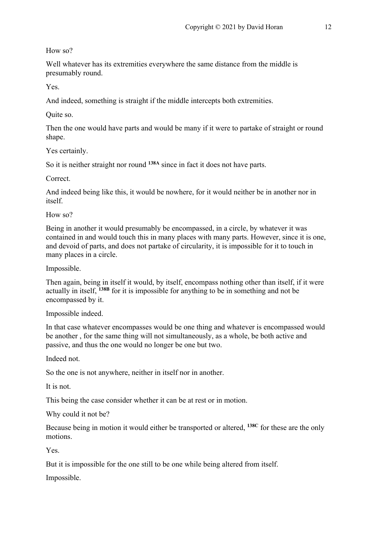How so?

Well whatever has its extremities everywhere the same distance from the middle is presumably round.

Yes.

And indeed, something is straight if the middle intercepts both extremities.

Quite so.

Then the one would have parts and would be many if it were to partake of straight or round shape.

Yes certainly.

So it is neither straight nor round **138A** since in fact it does not have parts.

Correct.

And indeed being like this, it would be nowhere, for it would neither be in another nor in itself.

How so?

Being in another it would presumably be encompassed, in a circle, by whatever it was contained in and would touch this in many places with many parts. However, since it is one, and devoid of parts, and does not partake of circularity, it is impossible for it to touch in many places in a circle.

Impossible.

Then again, being in itself it would, by itself, encompass nothing other than itself, if it were actually in itself, **138B** for it is impossible for anything to be in something and not be encompassed by it.

Impossible indeed.

In that case whatever encompasses would be one thing and whatever is encompassed would be another , for the same thing will not simultaneously, as a whole, be both active and passive, and thus the one would no longer be one but two.

Indeed not.

So the one is not anywhere, neither in itself nor in another.

It is not.

This being the case consider whether it can be at rest or in motion.

Why could it not be?

Because being in motion it would either be transported or altered, **138C** for these are the only motions.

Yes.

But it is impossible for the one still to be one while being altered from itself.

Impossible.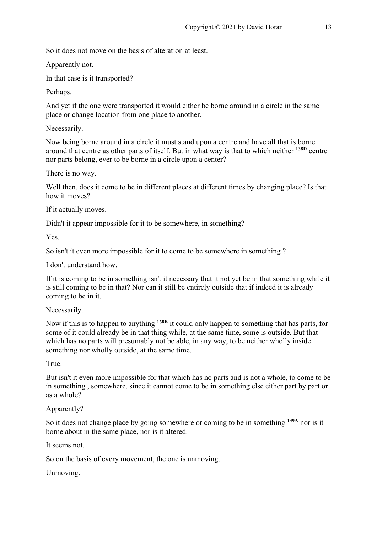So it does not move on the basis of alteration at least.

Apparently not.

In that case is it transported?

Perhaps.

And yet if the one were transported it would either be borne around in a circle in the same place or change location from one place to another.

Necessarily.

Now being borne around in a circle it must stand upon a centre and have all that is borne around that centre as other parts of itself. But in what way is that to which neither **138D** centre nor parts belong, ever to be borne in a circle upon a center?

There is no way.

Well then, does it come to be in different places at different times by changing place? Is that how it moves?

If it actually moves.

Didn't it appear impossible for it to be somewhere, in something?

Yes.

So isn't it even more impossible for it to come to be somewhere in something ?

I don't understand how.

If it is coming to be in something isn't it necessary that it not yet be in that something while it is still coming to be in that? Nor can it still be entirely outside that if indeed it is already coming to be in it.

Necessarily.

Now if this is to happen to anything **138E** it could only happen to something that has parts, for some of it could already be in that thing while, at the same time, some is outside. But that which has no parts will presumably not be able, in any way, to be neither wholly inside something nor wholly outside, at the same time.

True.

But isn't it even more impossible for that which has no parts and is not a whole, to come to be in something , somewhere, since it cannot come to be in something else either part by part or as a whole?

Apparently?

So it does not change place by going somewhere or coming to be in something **139A** nor is it borne about in the same place, nor is it altered.

It seems not.

So on the basis of every movement, the one is unmoving.

Unmoving.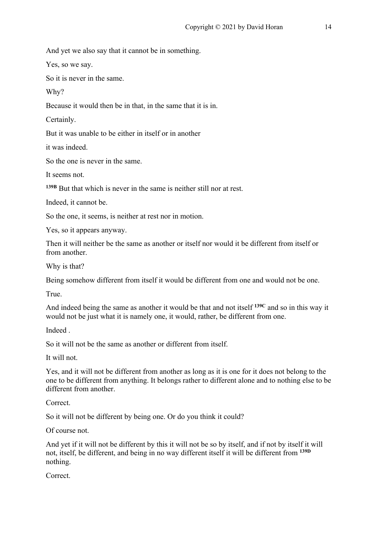And yet we also say that it cannot be in something.

Yes, so we say.

So it is never in the same.

Why?

Because it would then be in that, in the same that it is in.

Certainly.

But it was unable to be either in itself or in another

it was indeed.

So the one is never in the same.

It seems not.

**139B** But that which is never in the same is neither still nor at rest.

Indeed, it cannot be.

So the one, it seems, is neither at rest nor in motion.

Yes, so it appears anyway.

Then it will neither be the same as another or itself nor would it be different from itself or from another.

Why is that?

Being somehow different from itself it would be different from one and would not be one.

True.

And indeed being the same as another it would be that and not itself **139C** and so in this way it would not be just what it is namely one, it would, rather, be different from one.

Indeed .

So it will not be the same as another or different from itself.

It will not.

Yes, and it will not be different from another as long as it is one for it does not belong to the one to be different from anything. It belongs rather to different alone and to nothing else to be different from another.

Correct.

So it will not be different by being one. Or do you think it could?

Of course not.

And yet if it will not be different by this it will not be so by itself, and if not by itself it will not, itself, be different, and being in no way different itself it will be different from **139D** nothing.

Correct.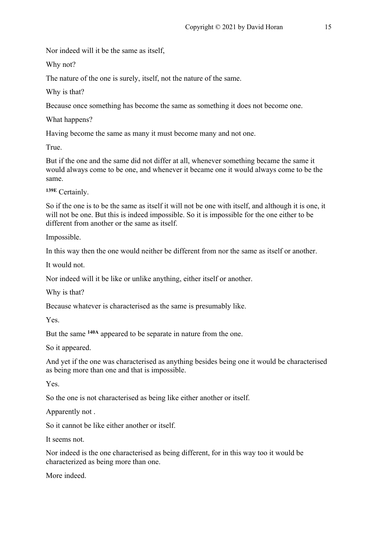Nor indeed will it be the same as itself,

Why not?

The nature of the one is surely, itself, not the nature of the same.

Why is that?

Because once something has become the same as something it does not become one.

What happens?

Having become the same as many it must become many and not one.

True.

But if the one and the same did not differ at all, whenever something became the same it would always come to be one, and whenever it became one it would always come to be the same.

**139E** Certainly.

So if the one is to be the same as itself it will not be one with itself, and although it is one, it will not be one. But this is indeed impossible. So it is impossible for the one either to be different from another or the same as itself.

Impossible.

In this way then the one would neither be different from nor the same as itself or another.

It would not.

Nor indeed will it be like or unlike anything, either itself or another.

Why is that?

Because whatever is characterised as the same is presumably like.

Yes.

But the same **140A** appeared to be separate in nature from the one.

So it appeared.

And yet if the one was characterised as anything besides being one it would be characterised as being more than one and that is impossible.

Yes.

So the one is not characterised as being like either another or itself.

Apparently not .

So it cannot be like either another or itself.

It seems not.

Nor indeed is the one characterised as being different, for in this way too it would be characterized as being more than one.

More indeed.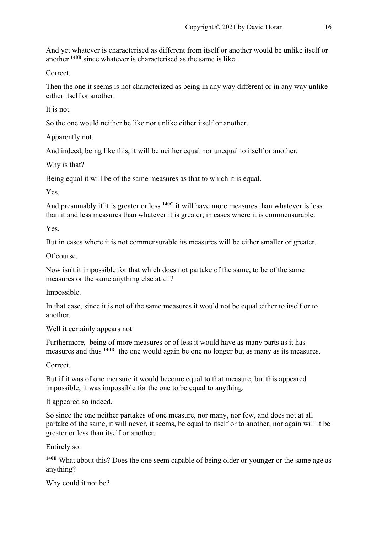And yet whatever is characterised as different from itself or another would be unlike itself or another **140B** since whatever is characterised as the same is like.

Correct.

Then the one it seems is not characterized as being in any way different or in any way unlike either itself or another.

It is not.

So the one would neither be like nor unlike either itself or another.

Apparently not.

And indeed, being like this, it will be neither equal nor unequal to itself or another.

Why is that?

Being equal it will be of the same measures as that to which it is equal.

Yes.

And presumably if it is greater or less **140C** it will have more measures than whatever is less than it and less measures than whatever it is greater, in cases where it is commensurable.

Yes.

But in cases where it is not commensurable its measures will be either smaller or greater.

Of course.

Now isn't it impossible for that which does not partake of the same, to be of the same measures or the same anything else at all?

Impossible.

In that case, since it is not of the same measures it would not be equal either to itself or to another.

Well it certainly appears not.

Furthermore, being of more measures or of less it would have as many parts as it has measures and thus **140D** the one would again be one no longer but as many as its measures.

Correct.

But if it was of one measure it would become equal to that measure, but this appeared impossible; it was impossible for the one to be equal to anything.

It appeared so indeed.

So since the one neither partakes of one measure, nor many, nor few, and does not at all partake of the same, it will never, it seems, be equal to itself or to another, nor again will it be greater or less than itself or another.

Entirely so.

**140E** What about this? Does the one seem capable of being older or younger or the same age as anything?

Why could it not be?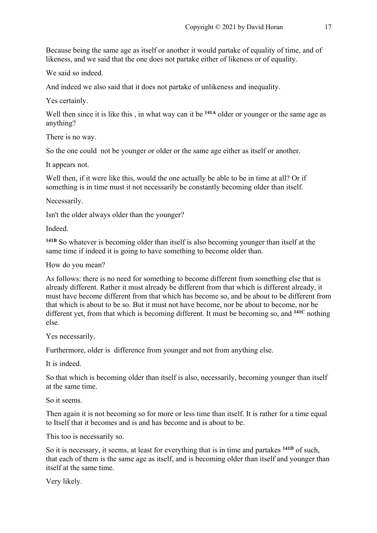Because being the same age as itself or another it would partake of equality of time, and of likeness, and we said that the one does not partake either of likeness or of equality.

We said so indeed.

And indeed we also said that it does not partake of unlikeness and inequality.

Yes certainly.

Well then since it is like this, in what way can it be <sup>141A</sup> older or younger or the same age as anything?

There is no way.

So the one could not be younger or older or the same age either as itself or another.

It appears not.

Well then, if it were like this, would the one actually be able to be in time at all? Or if something is in time must it not necessarily be constantly becoming older than itself.

Necessarily.

Isn't the older always older than the younger?

Indeed.

**141B** So whatever is becoming older than itself is also becoming younger than itself at the same time if indeed it is going to have something to become older than.

How do you mean?

As follows: there is no need for something to become different from something else that is already different. Rather it must already be different from that which is different already, it must have become different from that which has become so, and be about to be different from that which is about to be so. But it must not have become, nor be about to become, nor be different yet, from that which is becoming different. It must be becoming so, and **141C** nothing else.

Yes necessarily.

Furthermore, older is difference from younger and not from anything else.

It is indeed.

So that which is becoming older than itself is also, necessarily, becoming younger than itself at the same time.

So it seems.

Then again it is not becoming so for more or less time than itself. It is rather for a time equal to Itself that it becomes and is and has become and is about to be.

This too is necessarily so.

So it is necessary, it seems, at least for everything that is in time and partakes **141D** of such, that each of them is the same age as itself, and is becoming older than itself and younger than itself at the same time.

Very likely.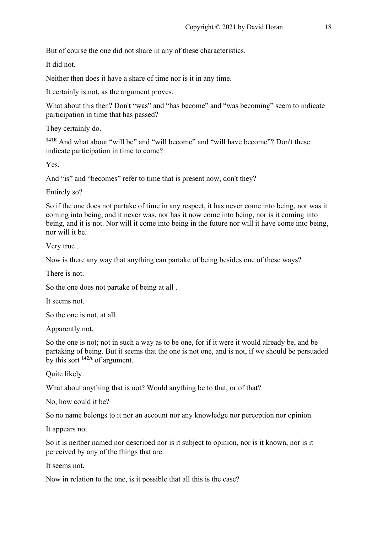But of course the one did not share in any of these characteristics.

It did not.

Neither then does it have a share of time nor is it in any time.

It certainly is not, as the argument proves.

What about this then? Don't "was" and "has become" and "was becoming" seem to indicate participation in time that has passed?

They certainly do.

**141E** And what about "will be" and "will become" and "will have become"? Don't these indicate participation in time to come?

Yes.

And "is" and "becomes" refer to time that is present now, don't they?

Entirely so?

So if the one does not partake of time in any respect, it has never come into being, nor was it coming into being, and it never was, nor has it now come into being, nor is it coming into being, and it is not. Nor will it come into being in the future nor will it have come into being, nor will it be.

Very true .

Now is there any way that anything can partake of being besides one of these ways?

There is not.

So the one does not partake of being at all .

It seems not.

So the one is not, at all.

Apparently not.

So the one is not; not in such a way as to be one, for if it were it would already be, and be partaking of being. But it seems that the one is not one, and is not, if we should be persuaded by this sort **142A** of argument.

Quite likely.

What about anything that is not? Would anything be to that, or of that?

No, how could it be?

So no name belongs to it nor an account nor any knowledge nor perception nor opinion.

It appears not .

So it is neither named nor described nor is it subject to opinion, nor is it known, nor is it perceived by any of the things that are.

It seems not.

Now in relation to the one, is it possible that all this is the case?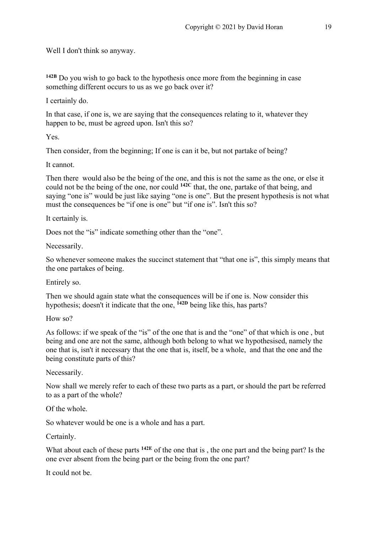Well I don't think so anyway.

**142B** Do you wish to go back to the hypothesis once more from the beginning in case something different occurs to us as we go back over it?

I certainly do.

In that case, if one is, we are saying that the consequences relating to it, whatever they happen to be, must be agreed upon. Isn't this so?

Yes.

Then consider, from the beginning; If one is can it be, but not partake of being?

It cannot.

Then there would also be the being of the one, and this is not the same as the one, or else it could not be the being of the one, nor could **142C** that, the one, partake of that being, and saying "one is" would be just like saying "one is one". But the present hypothesis is not what must the consequences be "if one is one" but "if one is". Isn't this so?

It certainly is.

Does not the "is" indicate something other than the "one".

Necessarily.

So whenever someone makes the succinct statement that "that one is", this simply means that the one partakes of being.

Entirely so.

Then we should again state what the consequences will be if one is. Now consider this hypothesis; doesn't it indicate that the one, **142D** being like this, has parts?

How so?

As follows: if we speak of the "is" of the one that is and the "one" of that which is one , but being and one are not the same, although both belong to what we hypothesised, namely the one that is, isn't it necessary that the one that is, itself, be a whole, and that the one and the being constitute parts of this?

Necessarily.

Now shall we merely refer to each of these two parts as a part, or should the part be referred to as a part of the whole?

Of the whole.

So whatever would be one is a whole and has a part.

Certainly.

What about each of these parts **142E** of the one that is , the one part and the being part? Is the one ever absent from the being part or the being from the one part?

It could not be.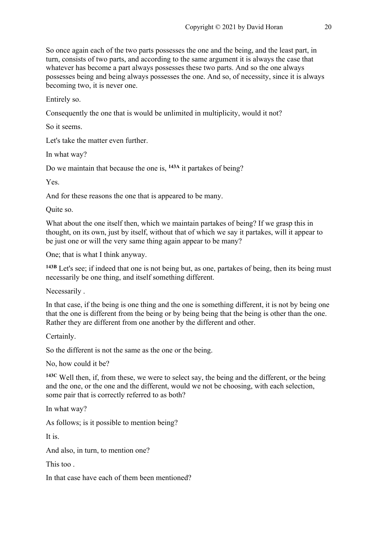So once again each of the two parts possesses the one and the being, and the least part, in turn, consists of two parts, and according to the same argument it is always the case that whatever has become a part always possesses these two parts. And so the one always possesses being and being always possesses the one. And so, of necessity, since it is always becoming two, it is never one.

Entirely so.

Consequently the one that is would be unlimited in multiplicity, would it not?

So it seems.

Let's take the matter even further.

In what way?

Do we maintain that because the one is, **143A** it partakes of being?

Yes.

And for these reasons the one that is appeared to be many.

Quite so.

What about the one itself then, which we maintain partakes of being? If we grasp this in thought, on its own, just by itself, without that of which we say it partakes, will it appear to be just one or will the very same thing again appear to be many?

One; that is what I think anyway.

**143B** Let's see; if indeed that one is not being but, as one, partakes of being, then its being must necessarily be one thing, and itself something different.

Necessarily .

In that case, if the being is one thing and the one is something different, it is not by being one that the one is different from the being or by being being that the being is other than the one. Rather they are different from one another by the different and other.

Certainly.

So the different is not the same as the one or the being.

No, how could it be?

**143C** Well then, if, from these, we were to select say, the being and the different, or the being and the one, or the one and the different, would we not be choosing, with each selection, some pair that is correctly referred to as both?

In what way?

As follows; is it possible to mention being?

It is.

And also, in turn, to mention one?

This too .

In that case have each of them been mentioned?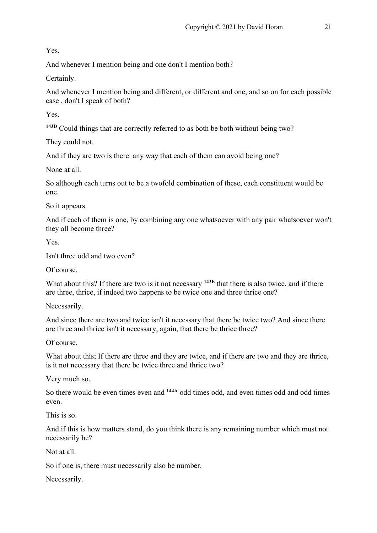Yes.

And whenever I mention being and one don't I mention both?

Certainly.

And whenever I mention being and different, or different and one, and so on for each possible case , don't I speak of both?

Yes.

**143D** Could things that are correctly referred to as both be both without being two?

They could not.

And if they are two is there any way that each of them can avoid being one?

None at all.

So although each turns out to be a twofold combination of these, each constituent would be one.

So it appears.

And if each of them is one, by combining any one whatsoever with any pair whatsoever won't they all become three?

Yes.

Isn't three odd and two even?

Of course.

What about this? If there are two is it not necessary **143E** that there is also twice, and if there are three, thrice, if indeed two happens to be twice one and three thrice one?

Necessarily.

And since there are two and twice isn't it necessary that there be twice two? And since there are three and thrice isn't it necessary, again, that there be thrice three?

Of course.

What about this; If there are three and they are twice, and if there are two and they are thrice, is it not necessary that there be twice three and thrice two?

Very much so.

So there would be even times even and **144A** odd times odd, and even times odd and odd times even.

This is so.

And if this is how matters stand, do you think there is any remaining number which must not necessarily be?

Not at all.

So if one is, there must necessarily also be number.

Necessarily.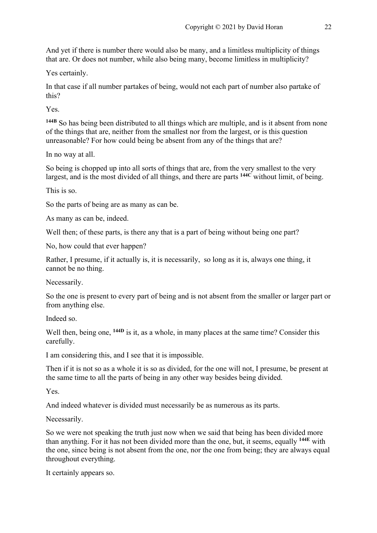And yet if there is number there would also be many, and a limitless multiplicity of things that are. Or does not number, while also being many, become limitless in multiplicity?

Yes certainly.

In that case if all number partakes of being, would not each part of number also partake of this?

Yes.

**144B** So has being been distributed to all things which are multiple, and is it absent from none of the things that are, neither from the smallest nor from the largest, or is this question unreasonable? For how could being be absent from any of the things that are?

In no way at all.

So being is chopped up into all sorts of things that are, from the very smallest to the very largest, and is the most divided of all things, and there are parts **144C** without limit, of being.

This is so.

So the parts of being are as many as can be.

As many as can be, indeed.

Well then; of these parts, is there any that is a part of being without being one part?

No, how could that ever happen?

Rather, I presume, if it actually is, it is necessarily, so long as it is, always one thing, it cannot be no thing.

Necessarily.

So the one is present to every part of being and is not absent from the smaller or larger part or from anything else.

Indeed so.

Well then, being one, <sup>144D</sup> is it, as a whole, in many places at the same time? Consider this carefully.

I am considering this, and I see that it is impossible.

Then if it is not so as a whole it is so as divided, for the one will not, I presume, be present at the same time to all the parts of being in any other way besides being divided.

Yes.

And indeed whatever is divided must necessarily be as numerous as its parts.

Necessarily.

So we were not speaking the truth just now when we said that being has been divided more than anything. For it has not been divided more than the one, but, it seems, equally **144E** with the one, since being is not absent from the one, nor the one from being; they are always equal throughout everything.

It certainly appears so.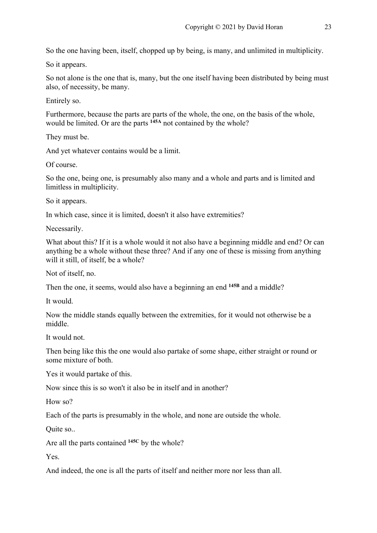So the one having been, itself, chopped up by being, is many, and unlimited in multiplicity.

So it appears.

So not alone is the one that is, many, but the one itself having been distributed by being must also, of necessity, be many.

Entirely so.

Furthermore, because the parts are parts of the whole, the one, on the basis of the whole, would be limited. Or are the parts **145A** not contained by the whole?

They must be.

And yet whatever contains would be a limit.

Of course.

So the one, being one, is presumably also many and a whole and parts and is limited and limitless in multiplicity.

So it appears.

In which case, since it is limited, doesn't it also have extremities?

Necessarily.

What about this? If it is a whole would it not also have a beginning middle and end? Or can anything be a whole without these three? And if any one of these is missing from anything will it still, of itself, be a whole?

Not of itself, no.

Then the one, it seems, would also have a beginning an end **145B** and a middle?

It would.

Now the middle stands equally between the extremities, for it would not otherwise be a middle.

It would not.

Then being like this the one would also partake of some shape, either straight or round or some mixture of both.

Yes it would partake of this.

Now since this is so won't it also be in itself and in another?

How so?

Each of the parts is presumably in the whole, and none are outside the whole.

Quite so..

Are all the parts contained **145C** by the whole?

Yes.

And indeed, the one is all the parts of itself and neither more nor less than all.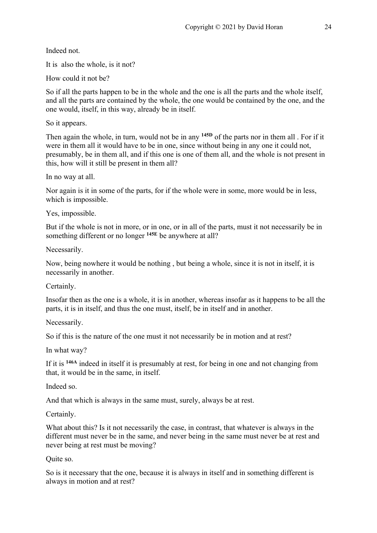Indeed not.

It is also the whole, is it not?

How could it not be?

So if all the parts happen to be in the whole and the one is all the parts and the whole itself, and all the parts are contained by the whole, the one would be contained by the one, and the one would, itself, in this way, already be in itself.

So it appears.

Then again the whole, in turn, would not be in any **145D** of the parts nor in them all . For if it were in them all it would have to be in one, since without being in any one it could not, presumably, be in them all, and if this one is one of them all, and the whole is not present in this, how will it still be present in them all?

In no way at all.

Nor again is it in some of the parts, for if the whole were in some, more would be in less, which is impossible.

Yes, impossible.

But if the whole is not in more, or in one, or in all of the parts, must it not necessarily be in something different or no longer **145E** be anywhere at all?

Necessarily.

Now, being nowhere it would be nothing , but being a whole, since it is not in itself, it is necessarily in another.

Certainly.

Insofar then as the one is a whole, it is in another, whereas insofar as it happens to be all the parts, it is in itself, and thus the one must, itself, be in itself and in another.

Necessarily.

So if this is the nature of the one must it not necessarily be in motion and at rest?

In what way?

If it is **146A** indeed in itself it is presumably at rest, for being in one and not changing from that, it would be in the same, in itself.

Indeed so.

And that which is always in the same must, surely, always be at rest.

Certainly.

What about this? Is it not necessarily the case, in contrast, that whatever is always in the different must never be in the same, and never being in the same must never be at rest and never being at rest must be moving?

Quite so.

So is it necessary that the one, because it is always in itself and in something different is always in motion and at rest?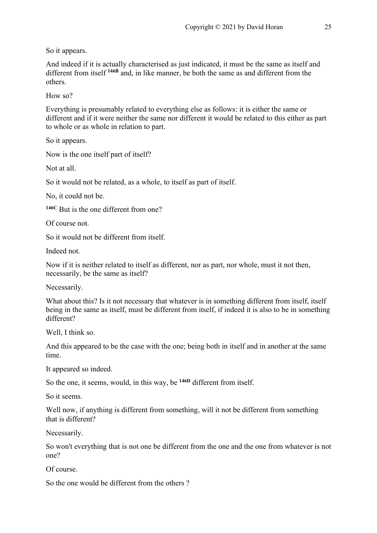So it appears.

And indeed if it is actually characterised as just indicated, it must be the same as itself and different from itself **146B** and, in like manner, be both the same as and different from the others.

How so?

Everything is presumably related to everything else as follows: it is either the same or different and if it were neither the same nor different it would be related to this either as part to whole or as whole in relation to part.

So it appears.

Now is the one itself part of itself?

Not at all.

So it would not be related, as a whole, to itself as part of itself.

No, it could not be.

**146C** But is the one different from one?

Of course not.

So it would not be different from itself.

Indeed not.

Now if it is neither related to itself as different, nor as part, nor whole, must it not then, necessarily, be the same as itself?

Necessarily.

What about this? Is it not necessary that whatever is in something different from itself, itself being in the same as itself, must be different from itself, if indeed it is also to be in something different?

Well, I think so.

And this appeared to be the case with the one; being both in itself and in another at the same time.

It appeared so indeed.

So the one, it seems, would, in this way, be **146D** different from itself.

So it seems.

Well now, if anything is different from something, will it not be different from something that is different?

Necessarily.

So won't everything that is not one be different from the one and the one from whatever is not one?

Of course.

So the one would be different from the others ?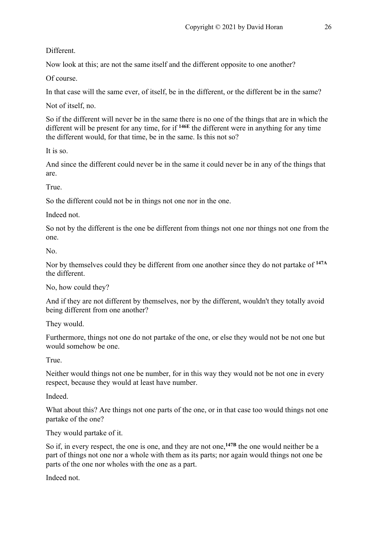Different.

Now look at this; are not the same itself and the different opposite to one another?

Of course.

In that case will the same ever, of itself, be in the different, or the different be in the same?

Not of itself, no.

So if the different will never be in the same there is no one of the things that are in which the different will be present for any time, for if **146E** the different were in anything for any time the different would, for that time, be in the same. Is this not so?

It is so.

And since the different could never be in the same it could never be in any of the things that are.

True.

So the different could not be in things not one nor in the one.

Indeed not.

So not by the different is the one be different from things not one nor things not one from the one.

No.

Nor by themselves could they be different from one another since they do not partake of **147A** the different.

No, how could they?

And if they are not different by themselves, nor by the different, wouldn't they totally avoid being different from one another?

They would.

Furthermore, things not one do not partake of the one, or else they would not be not one but would somehow be one.

True.

Neither would things not one be number, for in this way they would not be not one in every respect, because they would at least have number.

Indeed.

What about this? Are things not one parts of the one, or in that case too would things not one partake of the one?

They would partake of it.

So if, in every respect, the one is one, and they are not one,<sup>147B</sup> the one would neither be a part of things not one nor a whole with them as its parts; nor again would things not one be parts of the one nor wholes with the one as a part.

Indeed not.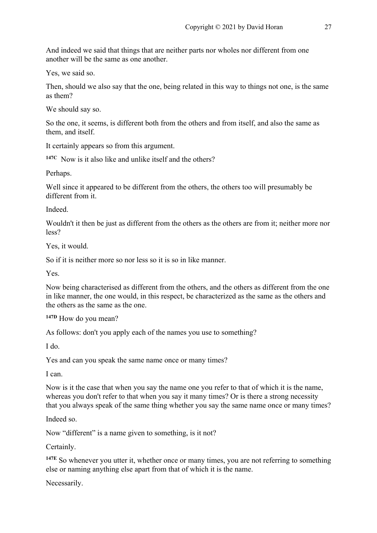And indeed we said that things that are neither parts nor wholes nor different from one another will be the same as one another.

Yes, we said so.

Then, should we also say that the one, being related in this way to things not one, is the same as them?

We should say so.

So the one, it seems, is different both from the others and from itself, and also the same as them, and itself.

It certainly appears so from this argument.

**147C** Now is it also like and unlike itself and the others?

Perhaps.

Well since it appeared to be different from the others, the others too will presumably be different from it.

Indeed.

Wouldn't it then be just as different from the others as the others are from it; neither more nor less?

Yes, it would.

So if it is neither more so nor less so it is so in like manner.

Yes.

Now being characterised as different from the others, and the others as different from the one in like manner, the one would, in this respect, be characterized as the same as the others and the others as the same as the one.

**147D** How do you mean?

As follows: don't you apply each of the names you use to something?

I do.

Yes and can you speak the same name once or many times?

I can.

Now is it the case that when you say the name one you refer to that of which it is the name, whereas you don't refer to that when you say it many times? Or is there a strong necessity that you always speak of the same thing whether you say the same name once or many times?

Indeed so.

Now "different" is a name given to something, is it not?

Certainly.

**147E** So whenever you utter it, whether once or many times, you are not referring to something else or naming anything else apart from that of which it is the name.

Necessarily.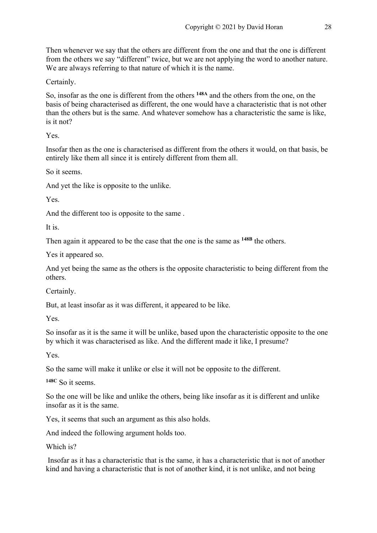Then whenever we say that the others are different from the one and that the one is different from the others we say "different" twice, but we are not applying the word to another nature. We are always referring to that nature of which it is the name.

Certainly.

So, insofar as the one is different from the others **148A** and the others from the one, on the basis of being characterised as different, the one would have a characteristic that is not other than the others but is the same. And whatever somehow has a characteristic the same is like, is it not?

Yes.

Insofar then as the one is characterised as different from the others it would, on that basis, be entirely like them all since it is entirely different from them all.

So it seems.

And yet the like is opposite to the unlike.

Yes.

And the different too is opposite to the same .

It is.

Then again it appeared to be the case that the one is the same as **148B** the others.

Yes it appeared so.

And yet being the same as the others is the opposite characteristic to being different from the others.

Certainly.

But, at least insofar as it was different, it appeared to be like.

Yes.

So insofar as it is the same it will be unlike, based upon the characteristic opposite to the one by which it was characterised as like. And the different made it like, I presume?

Yes.

So the same will make it unlike or else it will not be opposite to the different.

**148C** So it seems.

So the one will be like and unlike the others, being like insofar as it is different and unlike insofar as it is the same.

Yes, it seems that such an argument as this also holds.

And indeed the following argument holds too.

Which is?

Insofar as it has a characteristic that is the same, it has a characteristic that is not of another kind and having a characteristic that is not of another kind, it is not unlike, and not being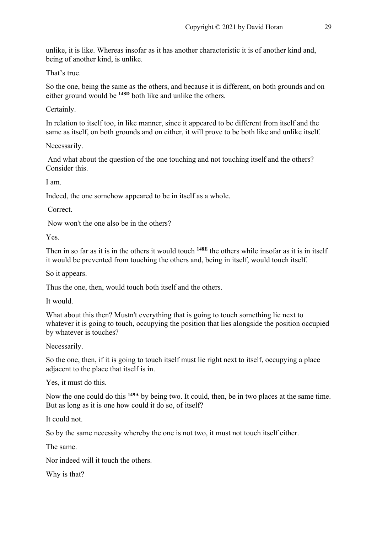unlike, it is like. Whereas insofar as it has another characteristic it is of another kind and, being of another kind, is unlike.

That's true.

So the one, being the same as the others, and because it is different, on both grounds and on either ground would be **148D** both like and unlike the others.

Certainly.

In relation to itself too, in like manner, since it appeared to be different from itself and the same as itself, on both grounds and on either, it will prove to be both like and unlike itself.

Necessarily.

And what about the question of the one touching and not touching itself and the others? Consider this.

I am.

Indeed, the one somehow appeared to be in itself as a whole.

Correct.

Now won't the one also be in the others?

Yes.

Then in so far as it is in the others it would touch **148E** the others while insofar as it is in itself it would be prevented from touching the others and, being in itself, would touch itself.

So it appears.

Thus the one, then, would touch both itself and the others.

It would.

What about this then? Mustn't everything that is going to touch something lie next to whatever it is going to touch, occupying the position that lies alongside the position occupied by whatever is touches?

Necessarily.

So the one, then, if it is going to touch itself must lie right next to itself, occupying a place adjacent to the place that itself is in.

Yes, it must do this.

Now the one could do this **149A** by being two. It could, then, be in two places at the same time. But as long as it is one how could it do so, of itself?

It could not.

So by the same necessity whereby the one is not two, it must not touch itself either.

The same.

Nor indeed will it touch the others.

Why is that?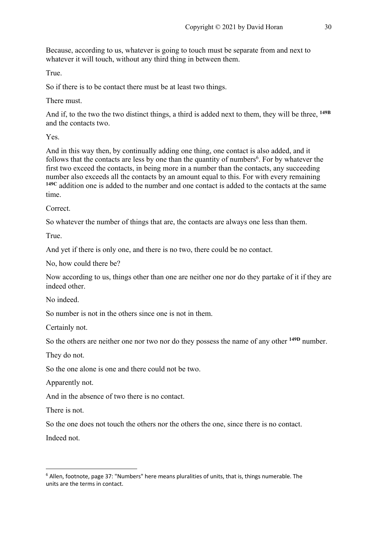Because, according to us, whatever is going to touch must be separate from and next to whatever it will touch, without any third thing in between them.

True.

So if there is to be contact there must be at least two things.

There must.

And if, to the two the two distinct things, a third is added next to them, they will be three, **149B** and the contacts two.

Yes.

And in this way then, by continually adding one thing, one contact is also added, and it follows that the contacts are less by one than the quantity of numbers<sup>6</sup>. For by whatever the first two exceed the contacts, in being more in a number than the contacts, any succeeding number also exceeds all the contacts by an amount equal to this. For with every remaining **149C** addition one is added to the number and one contact is added to the contacts at the same time.

Correct.

So whatever the number of things that are, the contacts are always one less than them.

True.

And yet if there is only one, and there is no two, there could be no contact.

No, how could there be?

Now according to us, things other than one are neither one nor do they partake of it if they are indeed other.

No indeed.

So number is not in the others since one is not in them.

Certainly not.

So the others are neither one nor two nor do they possess the name of any other **149D** number.

They do not.

So the one alone is one and there could not be two.

Apparently not.

And in the absence of two there is no contact.

There is not.

So the one does not touch the others nor the others the one, since there is no contact.

Indeed not.

 $6$  Allen, footnote, page 37: "Numbers" here means pluralities of units, that is, things numerable. The units are the terms in contact.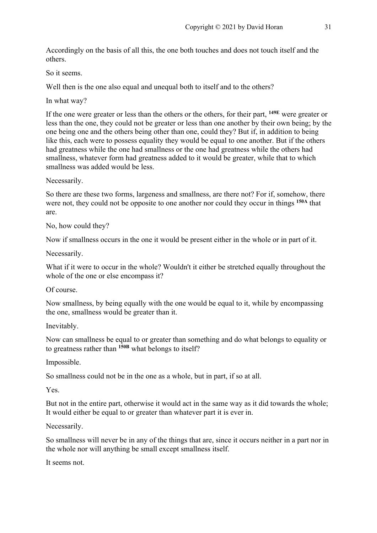Accordingly on the basis of all this, the one both touches and does not touch itself and the others.

So it seems.

Well then is the one also equal and unequal both to itself and to the others?

In what way?

If the one were greater or less than the others or the others, for their part, **149E** were greater or less than the one, they could not be greater or less than one another by their own being; by the one being one and the others being other than one, could they? But if, in addition to being like this, each were to possess equality they would be equal to one another. But if the others had greatness while the one had smallness or the one had greatness while the others had smallness, whatever form had greatness added to it would be greater, while that to which smallness was added would be less.

Necessarily.

So there are these two forms, largeness and smallness, are there not? For if, somehow, there were not, they could not be opposite to one another nor could they occur in things **150A** that are.

No, how could they?

Now if smallness occurs in the one it would be present either in the whole or in part of it.

Necessarily.

What if it were to occur in the whole? Wouldn't it either be stretched equally throughout the whole of the one or else encompass it?

Of course.

Now smallness, by being equally with the one would be equal to it, while by encompassing the one, smallness would be greater than it.

Inevitably.

Now can smallness be equal to or greater than something and do what belongs to equality or to greatness rather than **150B** what belongs to itself?

Impossible.

So smallness could not be in the one as a whole, but in part, if so at all.

Yes.

But not in the entire part, otherwise it would act in the same way as it did towards the whole; It would either be equal to or greater than whatever part it is ever in.

Necessarily.

So smallness will never be in any of the things that are, since it occurs neither in a part nor in the whole nor will anything be small except smallness itself.

It seems not.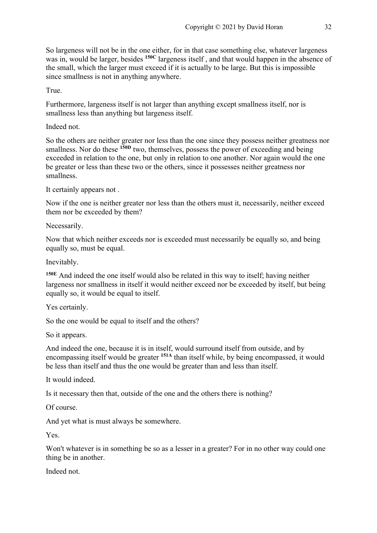So largeness will not be in the one either, for in that case something else, whatever largeness was in, would be larger, besides **150C** largeness itself , and that would happen in the absence of the small, which the larger must exceed if it is actually to be large. But this is impossible since smallness is not in anything anywhere.

True.

Furthermore, largeness itself is not larger than anything except smallness itself, nor is smallness less than anything but largeness itself.

Indeed not.

So the others are neither greater nor less than the one since they possess neither greatness nor smallness. Nor do these <sup>150D</sup> two, themselves, possess the power of exceeding and being exceeded in relation to the one, but only in relation to one another. Nor again would the one be greater or less than these two or the others, since it possesses neither greatness nor smallness.

It certainly appears not .

Now if the one is neither greater nor less than the others must it, necessarily, neither exceed them nor be exceeded by them?

Necessarily.

Now that which neither exceeds nor is exceeded must necessarily be equally so, and being equally so, must be equal.

Inevitably.

**150E** And indeed the one itself would also be related in this way to itself; having neither largeness nor smallness in itself it would neither exceed nor be exceeded by itself, but being equally so, it would be equal to itself.

Yes certainly.

So the one would be equal to itself and the others?

So it appears.

And indeed the one, because it is in itself, would surround itself from outside, and by encompassing itself would be greater **151A** than itself while, by being encompassed, it would be less than itself and thus the one would be greater than and less than itself.

It would indeed.

Is it necessary then that, outside of the one and the others there is nothing?

Of course.

And yet what is must always be somewhere.

Yes.

Won't whatever is in something be so as a lesser in a greater? For in no other way could one thing be in another.

Indeed not.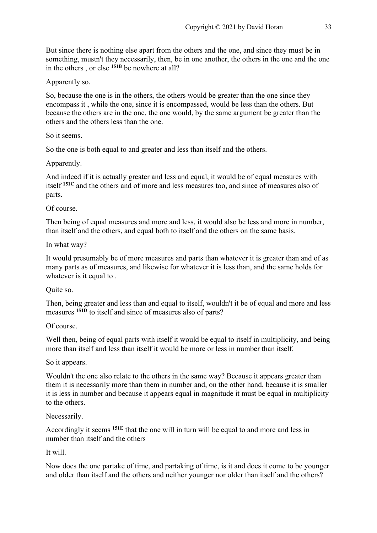But since there is nothing else apart from the others and the one, and since they must be in something, mustn't they necessarily, then, be in one another, the others in the one and the one in the others , or else **151B** be nowhere at all?

Apparently so.

So, because the one is in the others, the others would be greater than the one since they encompass it , while the one, since it is encompassed, would be less than the others. But because the others are in the one, the one would, by the same argument be greater than the others and the others less than the one.

So it seems.

So the one is both equal to and greater and less than itself and the others.

Apparently.

And indeed if it is actually greater and less and equal, it would be of equal measures with itself **151C** and the others and of more and less measures too, and since of measures also of parts.

Of course.

Then being of equal measures and more and less, it would also be less and more in number, than itself and the others, and equal both to itself and the others on the same basis.

In what way?

It would presumably be of more measures and parts than whatever it is greater than and of as many parts as of measures, and likewise for whatever it is less than, and the same holds for whatever is it equal to.

Quite so.

Then, being greater and less than and equal to itself, wouldn't it be of equal and more and less measures **151D** to itself and since of measures also of parts?

Of course.

Well then, being of equal parts with itself it would be equal to itself in multiplicity, and being more than itself and less than itself it would be more or less in number than itself.

So it appears.

Wouldn't the one also relate to the others in the same way? Because it appears greater than them it is necessarily more than them in number and, on the other hand, because it is smaller it is less in number and because it appears equal in magnitude it must be equal in multiplicity to the others.

Necessarily.

Accordingly it seems **151E** that the one will in turn will be equal to and more and less in number than itself and the others

It will.

Now does the one partake of time, and partaking of time, is it and does it come to be younger and older than itself and the others and neither younger nor older than itself and the others?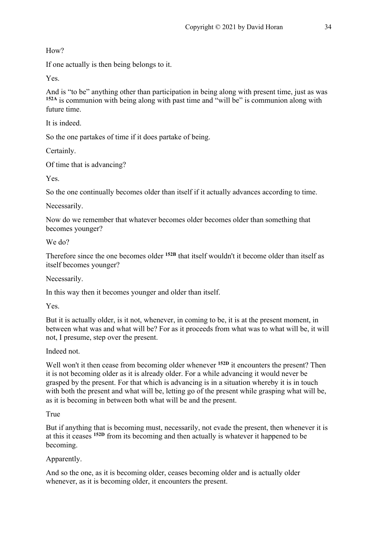How?

If one actually is then being belongs to it.

Yes.

And is "to be" anything other than participation in being along with present time, just as was **152A** is communion with being along with past time and "will be" is communion along with future time.

It is indeed.

So the one partakes of time if it does partake of being.

Certainly.

Of time that is advancing?

Yes.

So the one continually becomes older than itself if it actually advances according to time.

Necessarily.

Now do we remember that whatever becomes older becomes older than something that becomes younger?

We do?

Therefore since the one becomes older **152B** that itself wouldn't it become older than itself as itself becomes younger?

Necessarily.

In this way then it becomes younger and older than itself.

Yes.

But it is actually older, is it not, whenever, in coming to be, it is at the present moment, in between what was and what will be? For as it proceeds from what was to what will be, it will not, I presume, step over the present.

Indeed not.

Well won't it then cease from becoming older whenever <sup>152D</sup> it encounters the present? Then it is not becoming older as it is already older. For a while advancing it would never be grasped by the present. For that which is advancing is in a situation whereby it is in touch with both the present and what will be, letting go of the present while grasping what will be, as it is becoming in between both what will be and the present.

True

But if anything that is becoming must, necessarily, not evade the present, then whenever it is at this it ceases **152D** from its becoming and then actually is whatever it happened to be becoming.

Apparently.

And so the one, as it is becoming older, ceases becoming older and is actually older whenever, as it is becoming older, it encounters the present.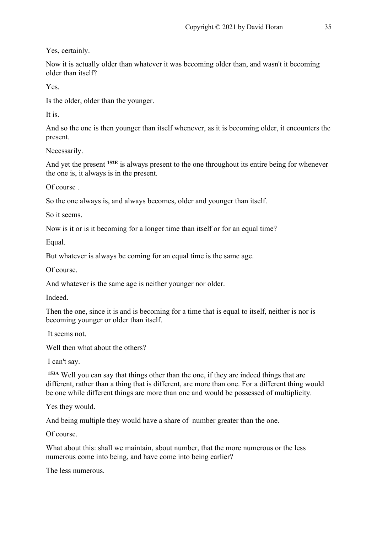Yes, certainly.

Now it is actually older than whatever it was becoming older than, and wasn't it becoming older than itself?

Yes.

Is the older, older than the younger.

It is.

And so the one is then younger than itself whenever, as it is becoming older, it encounters the present.

Necessarily.

And yet the present **152E** is always present to the one throughout its entire being for whenever the one is, it always is in the present.

Of course .

So the one always is, and always becomes, older and younger than itself.

So it seems.

Now is it or is it becoming for a longer time than itself or for an equal time?

Equal.

But whatever is always be coming for an equal time is the same age.

Of course.

And whatever is the same age is neither younger nor older.

Indeed.

Then the one, since it is and is becoming for a time that is equal to itself, neither is nor is becoming younger or older than itself.

It seems not.

Well then what about the others?

I can't say.

**153A** Well you can say that things other than the one, if they are indeed things that are different, rather than a thing that is different, are more than one. For a different thing would be one while different things are more than one and would be possessed of multiplicity.

Yes they would.

And being multiple they would have a share of number greater than the one.

Of course.

What about this: shall we maintain, about number, that the more numerous or the less numerous come into being, and have come into being earlier?

The less numerous.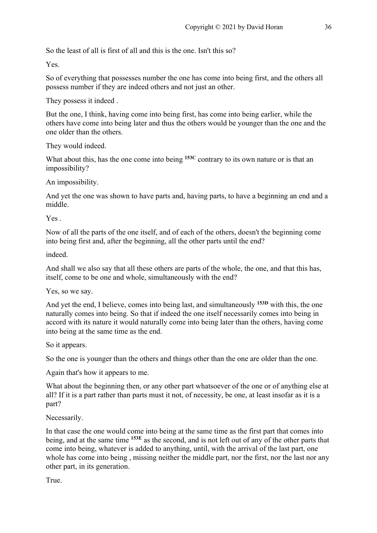So the least of all is first of all and this is the one. Isn't this so?

Yes.

So of everything that possesses number the one has come into being first, and the others all possess number if they are indeed others and not just an other.

They possess it indeed .

But the one, I think, having come into being first, has come into being earlier, while the others have come into being later and thus the others would be younger than the one and the one older than the others.

They would indeed.

What about this, has the one come into being <sup>153C</sup> contrary to its own nature or is that an impossibility?

An impossibility.

And yet the one was shown to have parts and, having parts, to have a beginning an end and a middle.

Yes .

Now of all the parts of the one itself, and of each of the others, doesn't the beginning come into being first and, after the beginning, all the other parts until the end?

indeed.

And shall we also say that all these others are parts of the whole, the one, and that this has, itself, come to be one and whole, simultaneously with the end?

Yes, so we say.

And yet the end, I believe, comes into being last, and simultaneously **153D** with this, the one naturally comes into being. So that if indeed the one itself necessarily comes into being in accord with its nature it would naturally come into being later than the others, having come into being at the same time as the end.

So it appears.

So the one is younger than the others and things other than the one are older than the one.

Again that's how it appears to me.

What about the beginning then, or any other part whatsoever of the one or of anything else at all? If it is a part rather than parts must it not, of necessity, be one, at least insofar as it is a part?

Necessarily.

In that case the one would come into being at the same time as the first part that comes into being, and at the same time **153E** as the second, and is not left out of any of the other parts that come into being, whatever is added to anything, until, with the arrival of the last part, one whole has come into being , missing neither the middle part, nor the first, nor the last nor any other part, in its generation.

True.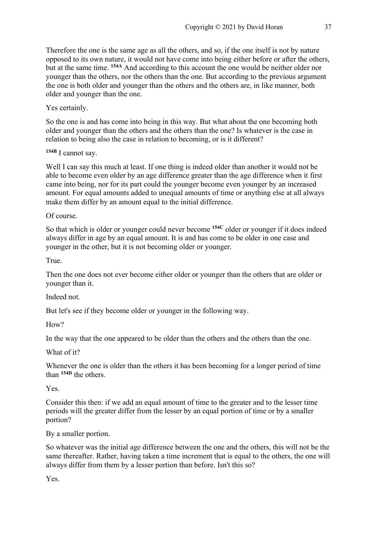Therefore the one is the same age as all the others, and so, if the one itself is not by nature opposed to its own nature, it would not have come into being either before or after the others, but at the same time. **154A** And according to this account the one would be neither older nor younger than the others, nor the others than the one. But according to the previous argument the one is both older and younger than the others and the others are, in like manner, both older and younger than the one.

#### Yes certainly.

So the one is and has come into being in this way. But what about the one becoming both older and younger than the others and the others than the one? Is whatever is the case in relation to being also the case in relation to becoming, or is it different?

**154B** I cannot say.

Well I can say this much at least. If one thing is indeed older than another it would not be able to become even older by an age difference greater than the age difference when it first came into being, nor for its part could the younger become even younger by an increased amount. For equal amounts added to unequal amounts of time or anything else at all always make them differ by an amount equal to the initial difference.

Of course.

So that which is older or younger could never become **154C** older or younger if it does indeed always differ in age by an equal amount. It is and has come to be older in one case and younger in the other, but it is not becoming older or younger.

True.

Then the one does not ever become either older or younger than the others that are older or younger than it.

Indeed not.

But let's see if they become older or younger in the following way.

How?

In the way that the one appeared to be older than the others and the others than the one.

What of it?

Whenever the one is older than the others it has been becoming for a longer period of time than **154D** the others.

Yes.

Consider this then: if we add an equal amount of time to the greater and to the lesser time periods will the greater differ from the lesser by an equal portion of time or by a smaller portion?

By a smaller portion.

So whatever was the initial age difference between the one and the others, this will not be the same thereafter. Rather, having taken a time increment that is equal to the others, the one will always differ from them by a lesser portion than before. Isn't this so?

Yes.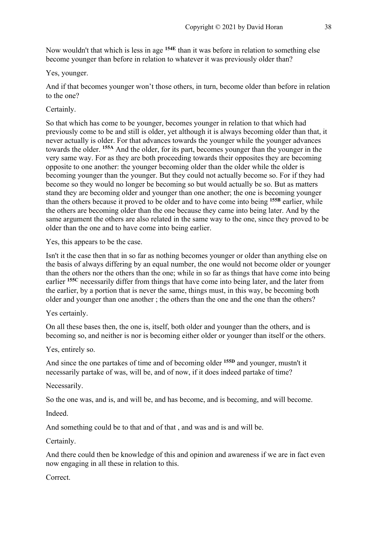Now wouldn't that which is less in age **154E** than it was before in relation to something else become younger than before in relation to whatever it was previously older than?

#### Yes, younger.

And if that becomes younger won't those others, in turn, become older than before in relation to the one?

Certainly.

So that which has come to be younger, becomes younger in relation to that which had previously come to be and still is older, yet although it is always becoming older than that, it never actually is older. For that advances towards the younger while the younger advances towards the older. **155A** And the older, for its part, becomes younger than the younger in the very same way. For as they are both proceeding towards their opposites they are becoming opposite to one another: the younger becoming older than the older while the older is becoming younger than the younger. But they could not actually become so. For if they had become so they would no longer be becoming so but would actually be so. But as matters stand they are becoming older and younger than one another; the one is becoming younger than the others because it proved to be older and to have come into being **155B** earlier, while the others are becoming older than the one because they came into being later. And by the same argument the others are also related in the same way to the one, since they proved to be older than the one and to have come into being earlier.

Yes, this appears to be the case.

Isn't it the case then that in so far as nothing becomes younger or older than anything else on the basis of always differing by an equal number, the one would not become older or younger than the others nor the others than the one; while in so far as things that have come into being earlier **155C** necessarily differ from things that have come into being later, and the later from the earlier, by a portion that is never the same, things must, in this way, be becoming both older and younger than one another ; the others than the one and the one than the others?

Yes certainly.

On all these bases then, the one is, itself, both older and younger than the others, and is becoming so, and neither is nor is becoming either older or younger than itself or the others.

Yes, entirely so.

And since the one partakes of time and of becoming older **155D** and younger, mustn't it necessarily partake of was, will be, and of now, if it does indeed partake of time?

Necessarily.

So the one was, and is, and will be, and has become, and is becoming, and will become.

Indeed.

And something could be to that and of that , and was and is and will be.

Certainly.

And there could then be knowledge of this and opinion and awareness if we are in fact even now engaging in all these in relation to this.

Correct.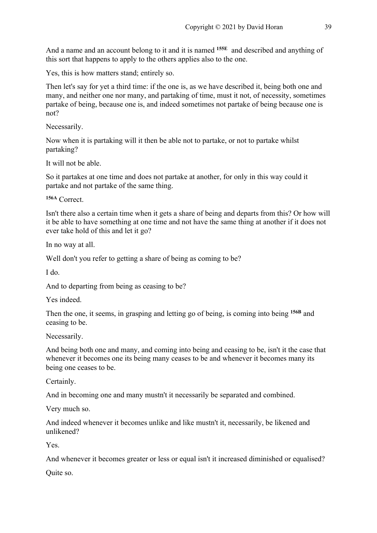And a name and an account belong to it and it is named **155E** and described and anything of this sort that happens to apply to the others applies also to the one.

Yes, this is how matters stand; entirely so.

Then let's say for yet a third time: if the one is, as we have described it, being both one and many, and neither one nor many, and partaking of time, must it not, of necessity, sometimes partake of being, because one is, and indeed sometimes not partake of being because one is not?

Necessarily.

Now when it is partaking will it then be able not to partake, or not to partake whilst partaking?

It will not be able.

So it partakes at one time and does not partake at another, for only in this way could it partake and not partake of the same thing.

**156A** Correct.

Isn't there also a certain time when it gets a share of being and departs from this? Or how will it be able to have something at one time and not have the same thing at another if it does not ever take hold of this and let it go?

In no way at all.

Well don't you refer to getting a share of being as coming to be?

I do.

And to departing from being as ceasing to be?

Yes indeed.

Then the one, it seems, in grasping and letting go of being, is coming into being **156B** and ceasing to be.

Necessarily.

And being both one and many, and coming into being and ceasing to be, isn't it the case that whenever it becomes one its being many ceases to be and whenever it becomes many its being one ceases to be.

Certainly.

And in becoming one and many mustn't it necessarily be separated and combined.

Very much so.

And indeed whenever it becomes unlike and like mustn't it, necessarily, be likened and unlikened?

Yes.

And whenever it becomes greater or less or equal isn't it increased diminished or equalised?

Quite so.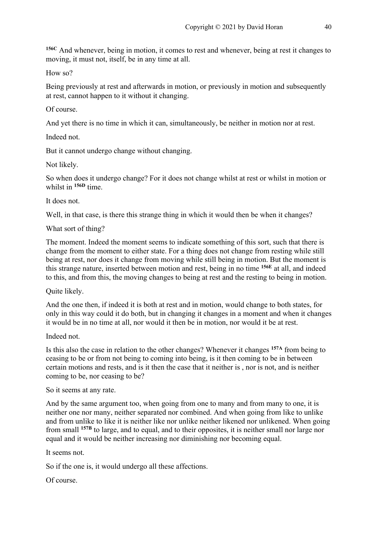**156C** And whenever, being in motion, it comes to rest and whenever, being at rest it changes to moving, it must not, itself, be in any time at all.

How so?

Being previously at rest and afterwards in motion, or previously in motion and subsequently at rest, cannot happen to it without it changing.

Of course.

And yet there is no time in which it can, simultaneously, be neither in motion nor at rest.

Indeed not.

But it cannot undergo change without changing.

Not likely.

So when does it undergo change? For it does not change whilst at rest or whilst in motion or whilst in **156D** time.

It does not.

Well, in that case, is there this strange thing in which it would then be when it changes?

What sort of thing?

The moment. Indeed the moment seems to indicate something of this sort, such that there is change from the moment to either state. For a thing does not change from resting while still being at rest, nor does it change from moving while still being in motion. But the moment is this strange nature, inserted between motion and rest, being in no time **156E** at all, and indeed to this, and from this, the moving changes to being at rest and the resting to being in motion.

Quite likely.

And the one then, if indeed it is both at rest and in motion, would change to both states, for only in this way could it do both, but in changing it changes in a moment and when it changes it would be in no time at all, nor would it then be in motion, nor would it be at rest.

Indeed not.

Is this also the case in relation to the other changes? Whenever it changes **157A** from being to ceasing to be or from not being to coming into being, is it then coming to be in between certain motions and rests, and is it then the case that it neither is , nor is not, and is neither coming to be, nor ceasing to be?

So it seems at any rate.

And by the same argument too, when going from one to many and from many to one, it is neither one nor many, neither separated nor combined. And when going from like to unlike and from unlike to like it is neither like nor unlike neither likened nor unlikened. When going from small **157B** to large, and to equal, and to their opposites, it is neither small nor large nor equal and it would be neither increasing nor diminishing nor becoming equal.

It seems not.

So if the one is, it would undergo all these affections.

Of course.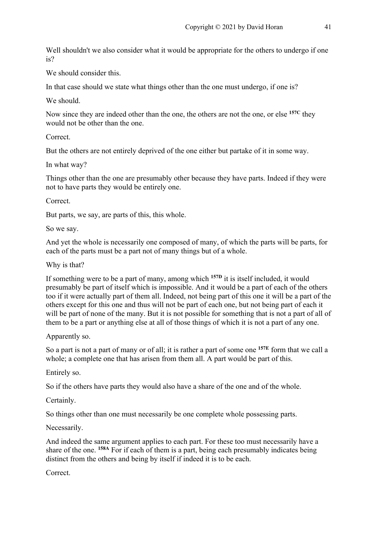Well shouldn't we also consider what it would be appropriate for the others to undergo if one is?

We should consider this.

In that case should we state what things other than the one must undergo, if one is?

We should.

Now since they are indeed other than the one, the others are not the one, or else **157C** they would not be other than the one.

Correct.

But the others are not entirely deprived of the one either but partake of it in some way.

In what way?

Things other than the one are presumably other because they have parts. Indeed if they were not to have parts they would be entirely one.

Correct.

But parts, we say, are parts of this, this whole.

So we say.

And yet the whole is necessarily one composed of many, of which the parts will be parts, for each of the parts must be a part not of many things but of a whole.

Why is that?

If something were to be a part of many, among which **157D** it is itself included, it would presumably be part of itself which is impossible. And it would be a part of each of the others too if it were actually part of them all. Indeed, not being part of this one it will be a part of the others except for this one and thus will not be part of each one, but not being part of each it will be part of none of the many. But it is not possible for something that is not a part of all of them to be a part or anything else at all of those things of which it is not a part of any one.

Apparently so.

So a part is not a part of many or of all; it is rather a part of some one **157E** form that we call a whole; a complete one that has arisen from them all. A part would be part of this.

Entirely so.

So if the others have parts they would also have a share of the one and of the whole.

Certainly.

So things other than one must necessarily be one complete whole possessing parts.

Necessarily.

And indeed the same argument applies to each part. For these too must necessarily have a share of the one. **158A** For if each of them is a part, being each presumably indicates being distinct from the others and being by itself if indeed it is to be each.

Correct.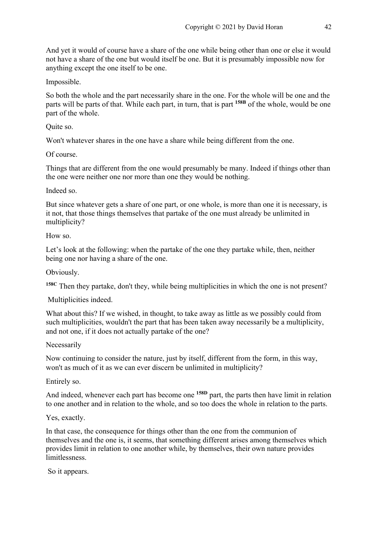And yet it would of course have a share of the one while being other than one or else it would not have a share of the one but would itself be one. But it is presumably impossible now for anything except the one itself to be one.

Impossible.

So both the whole and the part necessarily share in the one. For the whole will be one and the parts will be parts of that. While each part, in turn, that is part **158B** of the whole, would be one part of the whole.

Quite so.

Won't whatever shares in the one have a share while being different from the one.

Of course.

Things that are different from the one would presumably be many. Indeed if things other than the one were neither one nor more than one they would be nothing.

Indeed so.

But since whatever gets a share of one part, or one whole, is more than one it is necessary, is it not, that those things themselves that partake of the one must already be unlimited in multiplicity?

How so.

Let's look at the following: when the partake of the one they partake while, then, neither being one nor having a share of the one.

Obviously.

**158C** Then they partake, don't they, while being multiplicities in which the one is not present?

Multiplicities indeed.

What about this? If we wished, in thought, to take away as little as we possibly could from such multiplicities, wouldn't the part that has been taken away necessarily be a multiplicity, and not one, if it does not actually partake of the one?

Necessarily

Now continuing to consider the nature, just by itself, different from the form, in this way, won't as much of it as we can ever discern be unlimited in multiplicity?

Entirely so.

And indeed, whenever each part has become one **158D** part, the parts then have limit in relation to one another and in relation to the whole, and so too does the whole in relation to the parts.

Yes, exactly.

In that case, the consequence for things other than the one from the communion of themselves and the one is, it seems, that something different arises among themselves which provides limit in relation to one another while, by themselves, their own nature provides limitlessness.

So it appears.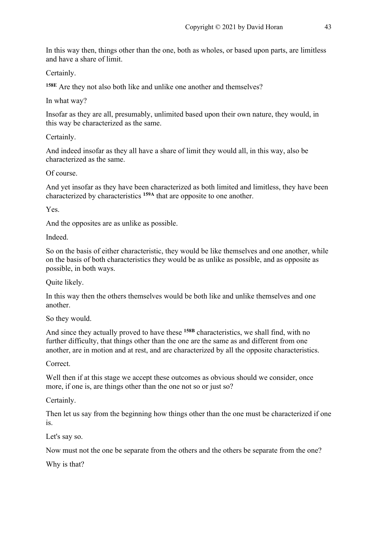In this way then, things other than the one, both as wholes, or based upon parts, are limitless and have a share of limit.

Certainly.

**158E** Are they not also both like and unlike one another and themselves?

In what way?

Insofar as they are all, presumably, unlimited based upon their own nature, they would, in this way be characterized as the same.

Certainly.

And indeed insofar as they all have a share of limit they would all, in this way, also be characterized as the same.

Of course.

And yet insofar as they have been characterized as both limited and limitless, they have been characterized by characteristics **159A** that are opposite to one another.

Yes.

And the opposites are as unlike as possible.

Indeed.

So on the basis of either characteristic, they would be like themselves and one another, while on the basis of both characteristics they would be as unlike as possible, and as opposite as possible, in both ways.

Quite likely.

In this way then the others themselves would be both like and unlike themselves and one another.

So they would.

And since they actually proved to have these **158B** characteristics, we shall find, with no further difficulty, that things other than the one are the same as and different from one another, are in motion and at rest, and are characterized by all the opposite characteristics.

Correct.

Well then if at this stage we accept these outcomes as obvious should we consider, once more, if one is, are things other than the one not so or just so?

Certainly.

Then let us say from the beginning how things other than the one must be characterized if one is.

Let's say so.

Now must not the one be separate from the others and the others be separate from the one?

Why is that?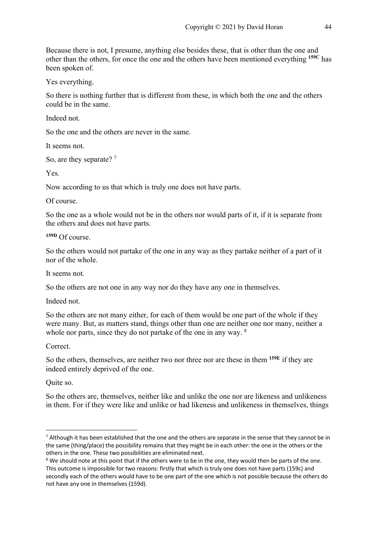Because there is not, I presume, anything else besides these, that is other than the one and other than the others, for once the one and the others have been mentioned everything **159C** has been spoken of.

Yes everything.

So there is nothing further that is different from these, in which both the one and the others could be in the same.

Indeed not.

So the one and the others are never in the same.

It seems not.

So, are they separate? <sup>7</sup>

Yes.

Now according to us that which is truly one does not have parts.

Of course.

So the one as a whole would not be in the others nor would parts of it, if it is separate from the others and does not have parts.

**159D** Of course.

So the others would not partake of the one in any way as they partake neither of a part of it nor of the whole.

It seems not.

So the others are not one in any way nor do they have any one in themselves.

Indeed not.

So the others are not many either, for each of them would be one part of the whole if they were many. But, as matters stand, things other than one are neither one nor many, neither a whole nor parts, since they do not partake of the one in any way. <sup>8</sup>

Correct.

So the others, themselves, are neither two nor three nor are these in them **159E** if they are indeed entirely deprived of the one.

Quite so.

So the others are, themselves, neither like and unlike the one nor are likeness and unlikeness in them. For if they were like and unlike or had likeness and unlikeness in themselves, things

 $7$  Although it has been established that the one and the others are separate in the sense that they cannot be in the same (thing/place) the possibility remains that they might be in each other: the one in the others or the others in the one. These two possibilities are eliminated next.<br><sup>8</sup> We should note at this point that if the others were to be in the one, they would then be parts of the one.

This outcome is impossible for two reasons: firstly that which is truly one does not have parts (159c) and secondly each of the others would have to be one part of the one which is not possible because the others do not have any one in themselves (159d).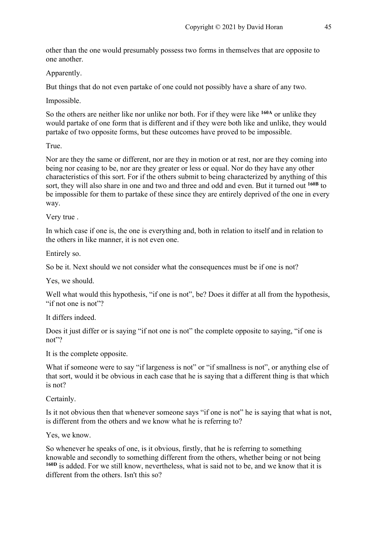other than the one would presumably possess two forms in themselves that are opposite to one another.

Apparently.

But things that do not even partake of one could not possibly have a share of any two.

Impossible.

So the others are neither like nor unlike nor both. For if they were like **160A** or unlike they would partake of one form that is different and if they were both like and unlike, they would partake of two opposite forms, but these outcomes have proved to be impossible.

True.

Nor are they the same or different, nor are they in motion or at rest, nor are they coming into being nor ceasing to be, nor are they greater or less or equal. Nor do they have any other characteristics of this sort. For if the others submit to being characterized by anything of this sort, they will also share in one and two and three and odd and even. But it turned out **160B** to be impossible for them to partake of these since they are entirely deprived of the one in every way.

Very true .

In which case if one is, the one is everything and, both in relation to itself and in relation to the others in like manner, it is not even one.

Entirely so.

So be it. Next should we not consider what the consequences must be if one is not?

Yes, we should.

Well what would this hypothesis, "if one is not", be? Does it differ at all from the hypothesis, "if not one is not"?

It differs indeed.

Does it just differ or is saying "if not one is not" the complete opposite to saying, "if one is not"?

It is the complete opposite.

What if someone were to say "if largeness is not" or "if smallness is not", or anything else of that sort, would it be obvious in each case that he is saying that a different thing is that which is not?

Certainly.

Is it not obvious then that whenever someone says "if one is not" he is saying that what is not, is different from the others and we know what he is referring to?

Yes, we know.

So whenever he speaks of one, is it obvious, firstly, that he is referring to something knowable and secondly to something different from the others, whether being or not being **160D** is added. For we still know, nevertheless, what is said not to be, and we know that it is different from the others. Isn't this so?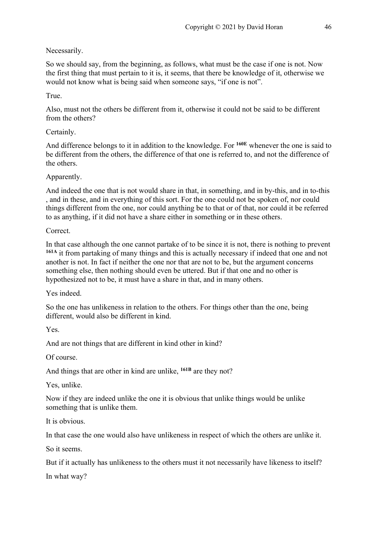## Necessarily.

So we should say, from the beginning, as follows, what must be the case if one is not. Now the first thing that must pertain to it is, it seems, that there be knowledge of it, otherwise we would not know what is being said when someone says, "if one is not".

#### True.

Also, must not the others be different from it, otherwise it could not be said to be different from the others?

#### Certainly.

And difference belongs to it in addition to the knowledge. For **160E** whenever the one is said to be different from the others, the difference of that one is referred to, and not the difference of the others.

## Apparently.

And indeed the one that is not would share in that, in something, and in by-this, and in to-this , and in these, and in everything of this sort. For the one could not be spoken of, nor could things different from the one, nor could anything be to that or of that, nor could it be referred to as anything, if it did not have a share either in something or in these others.

## Correct.

In that case although the one cannot partake of to be since it is not, there is nothing to prevent **161A** it from partaking of many things and this is actually necessary if indeed that one and not another is not. In fact if neither the one nor that are not to be, but the argument concerns something else, then nothing should even be uttered. But if that one and no other is hypothesized not to be, it must have a share in that, and in many others.

Yes indeed.

So the one has unlikeness in relation to the others. For things other than the one, being different, would also be different in kind.

Yes.

And are not things that are different in kind other in kind?

Of course.

And things that are other in kind are unlike, **161B** are they not?

Yes, unlike.

Now if they are indeed unlike the one it is obvious that unlike things would be unlike something that is unlike them.

It is obvious.

In that case the one would also have unlikeness in respect of which the others are unlike it.

So it seems.

But if it actually has unlikeness to the others must it not necessarily have likeness to itself?

In what way?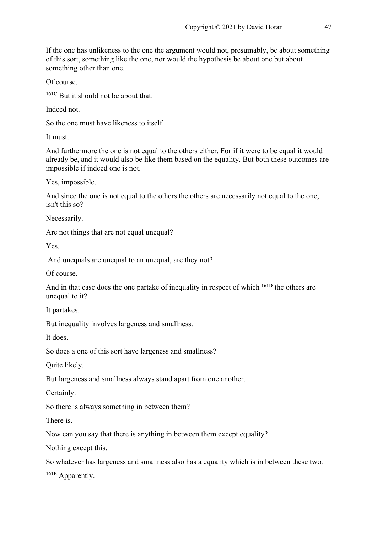If the one has unlikeness to the one the argument would not, presumably, be about something of this sort, something like the one, nor would the hypothesis be about one but about something other than one.

Of course.

**161C** But it should not be about that.

Indeed not.

So the one must have likeness to itself.

It must.

And furthermore the one is not equal to the others either. For if it were to be equal it would already be, and it would also be like them based on the equality. But both these outcomes are impossible if indeed one is not.

Yes, impossible.

And since the one is not equal to the others the others are necessarily not equal to the one, isn't this so?

Necessarily.

Are not things that are not equal unequal?

Yes.

And unequals are unequal to an unequal, are they not?

Of course.

And in that case does the one partake of inequality in respect of which **161D** the others are unequal to it?

It partakes.

But inequality involves largeness and smallness.

It does.

So does a one of this sort have largeness and smallness?

Quite likely.

But largeness and smallness always stand apart from one another.

Certainly.

So there is always something in between them?

There is.

Now can you say that there is anything in between them except equality?

Nothing except this.

So whatever has largeness and smallness also has a equality which is in between these two.

**161E** Apparently.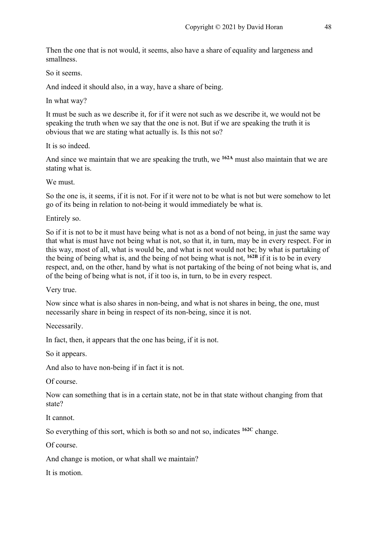Then the one that is not would, it seems, also have a share of equality and largeness and smallness.

So it seems.

And indeed it should also, in a way, have a share of being.

In what way?

It must be such as we describe it, for if it were not such as we describe it, we would not be speaking the truth when we say that the one is not. But if we are speaking the truth it is obvious that we are stating what actually is. Is this not so?

It is so indeed.

And since we maintain that we are speaking the truth, we **162A** must also maintain that we are stating what is.

We must.

So the one is, it seems, if it is not. For if it were not to be what is not but were somehow to let go of its being in relation to not-being it would immediately be what is.

Entirely so.

So if it is not to be it must have being what is not as a bond of not being, in just the same way that what is must have not being what is not, so that it, in turn, may be in every respect. For in this way, most of all, what is would be, and what is not would not be; by what is partaking of the being of being what is, and the being of not being what is not, **162B** if it is to be in every respect, and, on the other, hand by what is not partaking of the being of not being what is, and of the being of being what is not, if it too is, in turn, to be in every respect.

Very true.

Now since what is also shares in non-being, and what is not shares in being, the one, must necessarily share in being in respect of its non-being, since it is not.

Necessarily.

In fact, then, it appears that the one has being, if it is not.

So it appears.

And also to have non-being if in fact it is not.

Of course.

Now can something that is in a certain state, not be in that state without changing from that state?

It cannot.

So everything of this sort, which is both so and not so, indicates **162C** change.

Of course.

And change is motion, or what shall we maintain?

It is motion.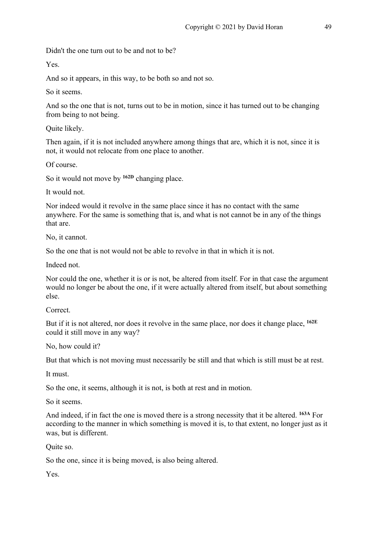Didn't the one turn out to be and not to be?

Yes.

And so it appears, in this way, to be both so and not so.

So it seems.

And so the one that is not, turns out to be in motion, since it has turned out to be changing from being to not being.

Quite likely.

Then again, if it is not included anywhere among things that are, which it is not, since it is not, it would not relocate from one place to another.

Of course.

So it would not move by **162D** changing place.

It would not.

Nor indeed would it revolve in the same place since it has no contact with the same anywhere. For the same is something that is, and what is not cannot be in any of the things that are.

No, it cannot.

So the one that is not would not be able to revolve in that in which it is not.

Indeed not.

Nor could the one, whether it is or is not, be altered from itself. For in that case the argument would no longer be about the one, if it were actually altered from itself, but about something else.

Correct.

But if it is not altered, nor does it revolve in the same place, nor does it change place, **162E** could it still move in any way?

No, how could it?

But that which is not moving must necessarily be still and that which is still must be at rest.

It must.

So the one, it seems, although it is not, is both at rest and in motion.

So it seems.

And indeed, if in fact the one is moved there is a strong necessity that it be altered. **163A** For according to the manner in which something is moved it is, to that extent, no longer just as it was, but is different.

Quite so.

So the one, since it is being moved, is also being altered.

Yes.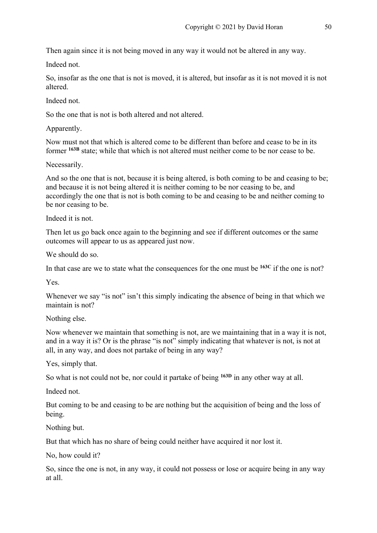Then again since it is not being moved in any way it would not be altered in any way.

Indeed not.

So, insofar as the one that is not is moved, it is altered, but insofar as it is not moved it is not altered.

Indeed not.

So the one that is not is both altered and not altered.

Apparently.

Now must not that which is altered come to be different than before and cease to be in its former **163B** state; while that which is not altered must neither come to be nor cease to be.

Necessarily.

And so the one that is not, because it is being altered, is both coming to be and ceasing to be; and because it is not being altered it is neither coming to be nor ceasing to be, and accordingly the one that is not is both coming to be and ceasing to be and neither coming to be nor ceasing to be.

Indeed it is not.

Then let us go back once again to the beginning and see if different outcomes or the same outcomes will appear to us as appeared just now.

We should do so.

In that case are we to state what the consequences for the one must be **163C** if the one is not?

Yes.

Whenever we say "is not" isn't this simply indicating the absence of being in that which we maintain is not?

Nothing else.

Now whenever we maintain that something is not, are we maintaining that in a way it is not, and in a way it is? Or is the phrase "is not" simply indicating that whatever is not, is not at all, in any way, and does not partake of being in any way?

Yes, simply that.

So what is not could not be, nor could it partake of being **163D** in any other way at all.

Indeed not.

But coming to be and ceasing to be are nothing but the acquisition of being and the loss of being.

Nothing but.

But that which has no share of being could neither have acquired it nor lost it.

No, how could it?

So, since the one is not, in any way, it could not possess or lose or acquire being in any way at all.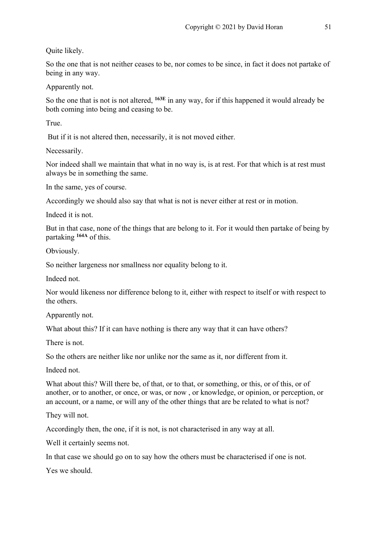Quite likely.

So the one that is not neither ceases to be, nor comes to be since, in fact it does not partake of being in any way.

Apparently not.

So the one that is not is not altered, **163E** in any way, for if this happened it would already be both coming into being and ceasing to be.

True.

But if it is not altered then, necessarily, it is not moved either.

Necessarily.

Nor indeed shall we maintain that what in no way is, is at rest. For that which is at rest must always be in something the same.

In the same, yes of course.

Accordingly we should also say that what is not is never either at rest or in motion.

Indeed it is not.

But in that case, none of the things that are belong to it. For it would then partake of being by partaking **164A** of this.

Obviously.

So neither largeness nor smallness nor equality belong to it.

Indeed not.

Nor would likeness nor difference belong to it, either with respect to itself or with respect to the others.

Apparently not.

What about this? If it can have nothing is there any way that it can have others?

There is not.

So the others are neither like nor unlike nor the same as it, nor different from it.

Indeed not.

What about this? Will there be, of that, or to that, or something, or this, or of this, or of another, or to another, or once, or was, or now , or knowledge, or opinion, or perception, or an account, or a name, or will any of the other things that are be related to what is not?

They will not.

Accordingly then, the one, if it is not, is not characterised in any way at all.

Well it certainly seems not.

In that case we should go on to say how the others must be characterised if one is not.

Yes we should.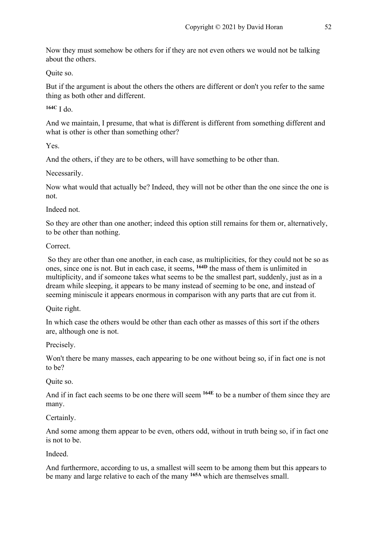Now they must somehow be others for if they are not even others we would not be talking about the others.

Quite so.

But if the argument is about the others the others are different or don't you refer to the same thing as both other and different.

**164C** I do.

And we maintain, I presume, that what is different is different from something different and what is other is other than something other?

Yes.

And the others, if they are to be others, will have something to be other than.

Necessarily.

Now what would that actually be? Indeed, they will not be other than the one since the one is not.

Indeed not.

So they are other than one another; indeed this option still remains for them or, alternatively, to be other than nothing.

Correct.

So they are other than one another, in each case, as multiplicities, for they could not be so as ones, since one is not. But in each case, it seems, **164D** the mass of them is unlimited in multiplicity, and if someone takes what seems to be the smallest part, suddenly, just as in a dream while sleeping, it appears to be many instead of seeming to be one, and instead of seeming miniscule it appears enormous in comparison with any parts that are cut from it.

Quite right.

In which case the others would be other than each other as masses of this sort if the others are, although one is not.

Precisely.

Won't there be many masses, each appearing to be one without being so, if in fact one is not to be?

Quite so.

And if in fact each seems to be one there will seem **164E** to be a number of them since they are many.

Certainly.

And some among them appear to be even, others odd, without in truth being so, if in fact one is not to be.

Indeed.

And furthermore, according to us, a smallest will seem to be among them but this appears to be many and large relative to each of the many **165A** which are themselves small.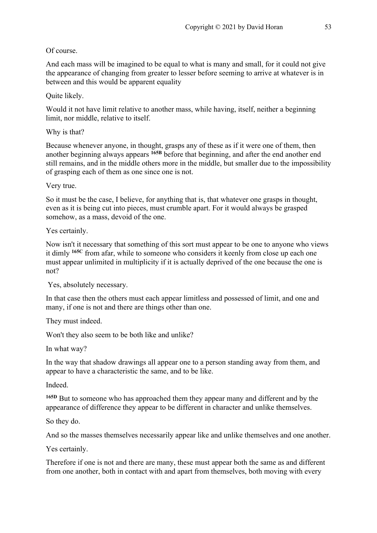## Of course.

And each mass will be imagined to be equal to what is many and small, for it could not give the appearance of changing from greater to lesser before seeming to arrive at whatever is in between and this would be apparent equality

Quite likely.

Would it not have limit relative to another mass, while having, itself, neither a beginning limit, nor middle, relative to itself.

Why is that?

Because whenever anyone, in thought, grasps any of these as if it were one of them, then another beginning always appears **165B** before that beginning, and after the end another end still remains, and in the middle others more in the middle, but smaller due to the impossibility of grasping each of them as one since one is not.

Very true.

So it must be the case, I believe, for anything that is, that whatever one grasps in thought, even as it is being cut into pieces, must crumble apart. For it would always be grasped somehow, as a mass, devoid of the one.

Yes certainly.

Now isn't it necessary that something of this sort must appear to be one to anyone who views it dimly **165C** from afar, while to someone who considers it keenly from close up each one must appear unlimited in multiplicity if it is actually deprived of the one because the one is not?

Yes, absolutely necessary.

In that case then the others must each appear limitless and possessed of limit, and one and many, if one is not and there are things other than one.

They must indeed.

Won't they also seem to be both like and unlike?

In what way?

In the way that shadow drawings all appear one to a person standing away from them, and appear to have a characteristic the same, and to be like.

Indeed.

**165D** But to someone who has approached them they appear many and different and by the appearance of difference they appear to be different in character and unlike themselves.

So they do.

And so the masses themselves necessarily appear like and unlike themselves and one another.

Yes certainly.

Therefore if one is not and there are many, these must appear both the same as and different from one another, both in contact with and apart from themselves, both moving with every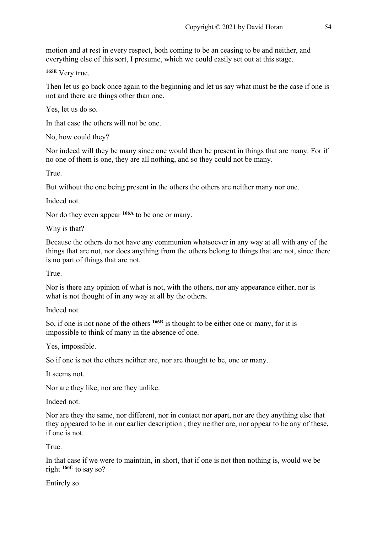motion and at rest in every respect, both coming to be an ceasing to be and neither, and everything else of this sort, I presume, which we could easily set out at this stage.

**165E** Very true.

Then let us go back once again to the beginning and let us say what must be the case if one is not and there are things other than one.

Yes, let us do so.

In that case the others will not be one.

No, how could they?

Nor indeed will they be many since one would then be present in things that are many. For if no one of them is one, they are all nothing, and so they could not be many.

True.

But without the one being present in the others the others are neither many nor one.

Indeed not.

Nor do they even appear **166A** to be one or many.

Why is that?

Because the others do not have any communion whatsoever in any way at all with any of the things that are not, nor does anything from the others belong to things that are not, since there is no part of things that are not.

True.

Nor is there any opinion of what is not, with the others, nor any appearance either, nor is what is not thought of in any way at all by the others.

Indeed not.

So, if one is not none of the others **166B** is thought to be either one or many, for it is impossible to think of many in the absence of one.

Yes, impossible.

So if one is not the others neither are, nor are thought to be, one or many.

It seems not.

Nor are they like, nor are they unlike.

Indeed not.

Nor are they the same, nor different, nor in contact nor apart, nor are they anything else that they appeared to be in our earlier description ; they neither are, nor appear to be any of these, if one is not.

True.

In that case if we were to maintain, in short, that if one is not then nothing is, would we be right **166C** to say so?

Entirely so.